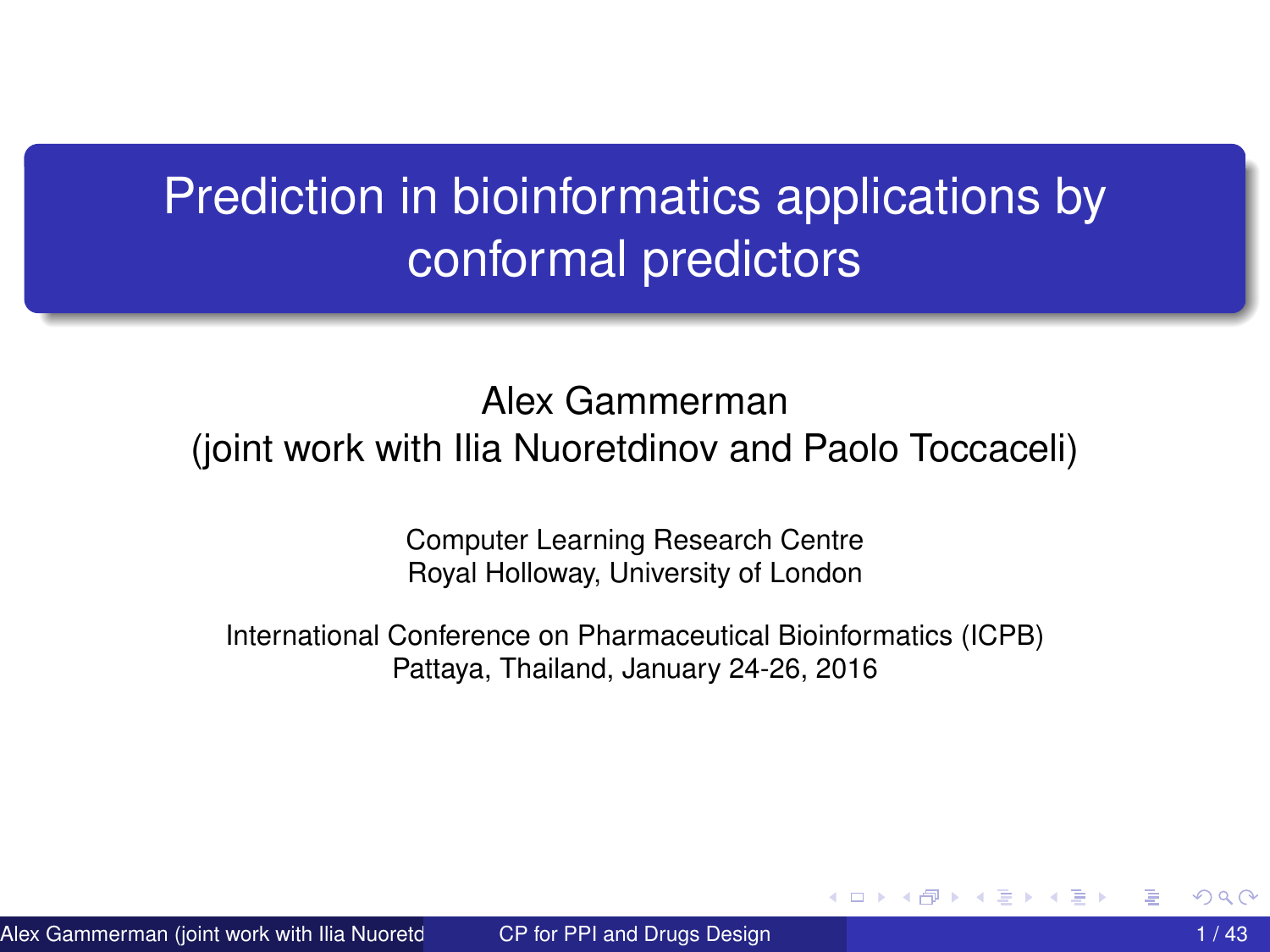## <span id="page-0-0"></span>Prediction in bioinformatics applications by conformal predictors

#### Alex Gammerman

#### (joint work with Ilia Nuoretdinov and Paolo Toccaceli)

Computer Learning Research Centre Royal Holloway, University of London

International Conference on Pharmaceutical Bioinformatics (ICPB) Pattaya, Thailand, January 24-26, 2016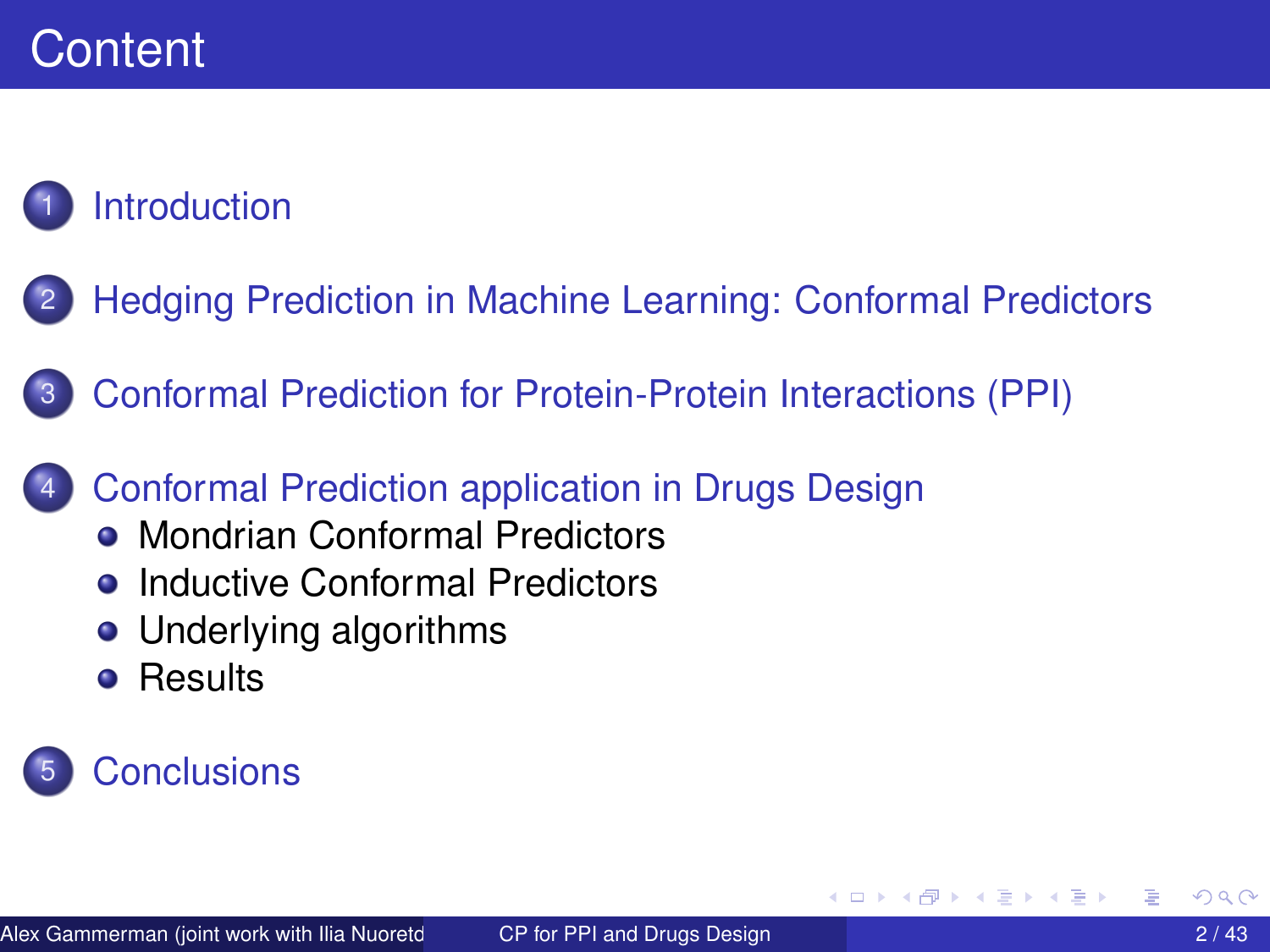### **[Introduction](#page-2-0)**

- 2 [Hedging Prediction in Machine Learning: Conformal Predictors](#page-4-0)
- 3 [Conformal Prediction for Protein-Protein Interactions \(PPI\)](#page-19-0)
- [Conformal Prediction application in Drugs Design](#page-27-0)
	- **[Mondrian Conformal Predictors](#page-29-0)**
	- **[Inductive Conformal Predictors](#page-31-0)**
	- [Underlying algorithms](#page-32-0)
	- **•** [Results](#page-37-0)

### **[Conclusions](#page-42-0)**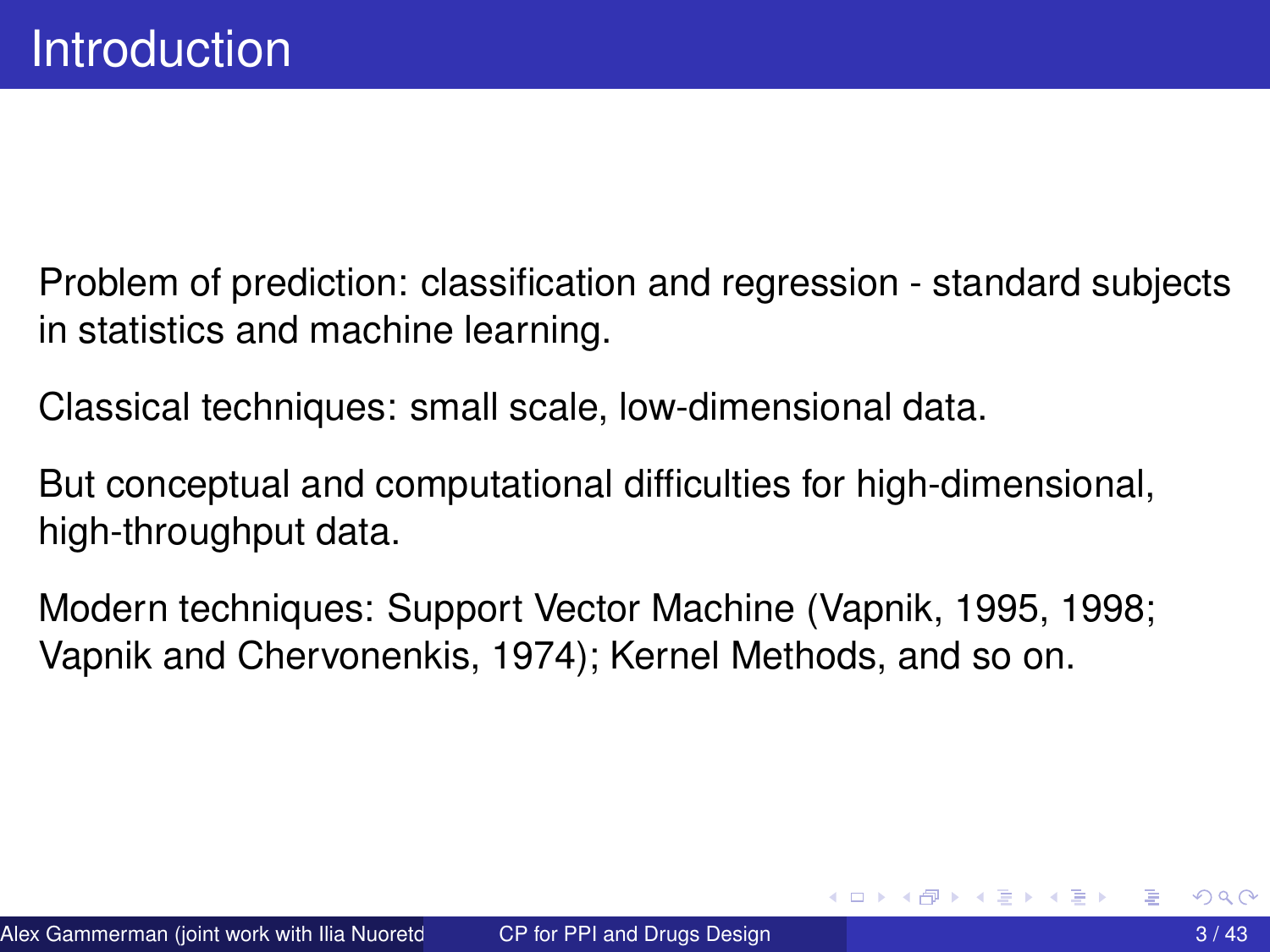<span id="page-2-0"></span>Problem of prediction: classification and regression - standard subjects in statistics and machine learning.

Classical techniques: small scale, low-dimensional data.

But conceptual and computational difficulties for high-dimensional, high-throughput data.

Modern techniques: Support Vector Machine (Vapnik, 1995, 1998; Vapnik and Chervonenkis, 1974); Kernel Methods, and so on.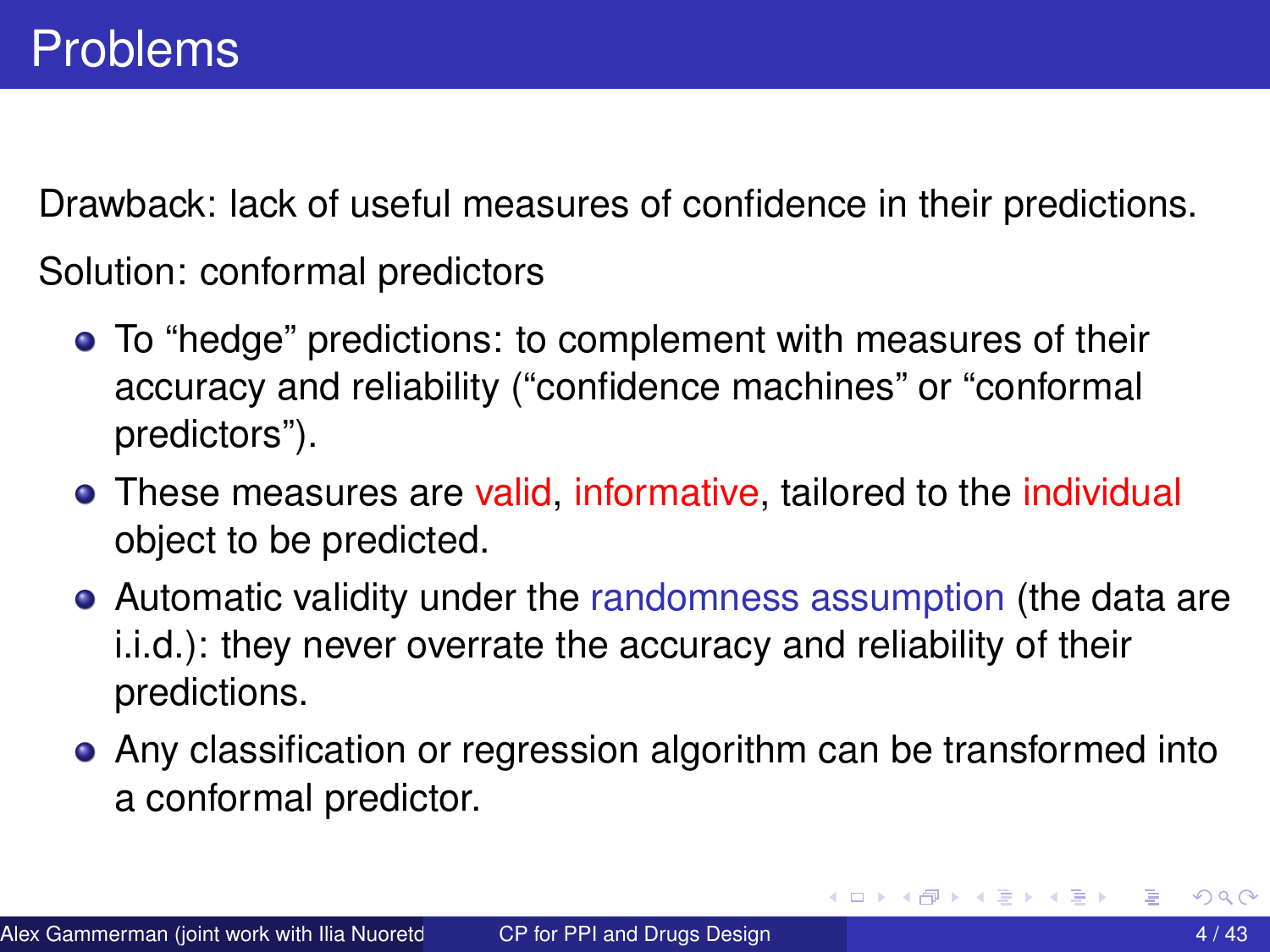Drawback: lack of useful measures of confidence in their predictions.

Solution: conformal predictors

- To "hedge" predictions: to complement with measures of their accuracy and reliability ("confidence machines" or "conformal predictors").
- These measures are valid, informative, tailored to the individual object to be predicted.
- Automatic validity under the randomness assumption (the data are i.i.d.): they never overrate the accuracy and reliability of their predictions.
- Any classification or regression algorithm can be transformed into a conformal predictor.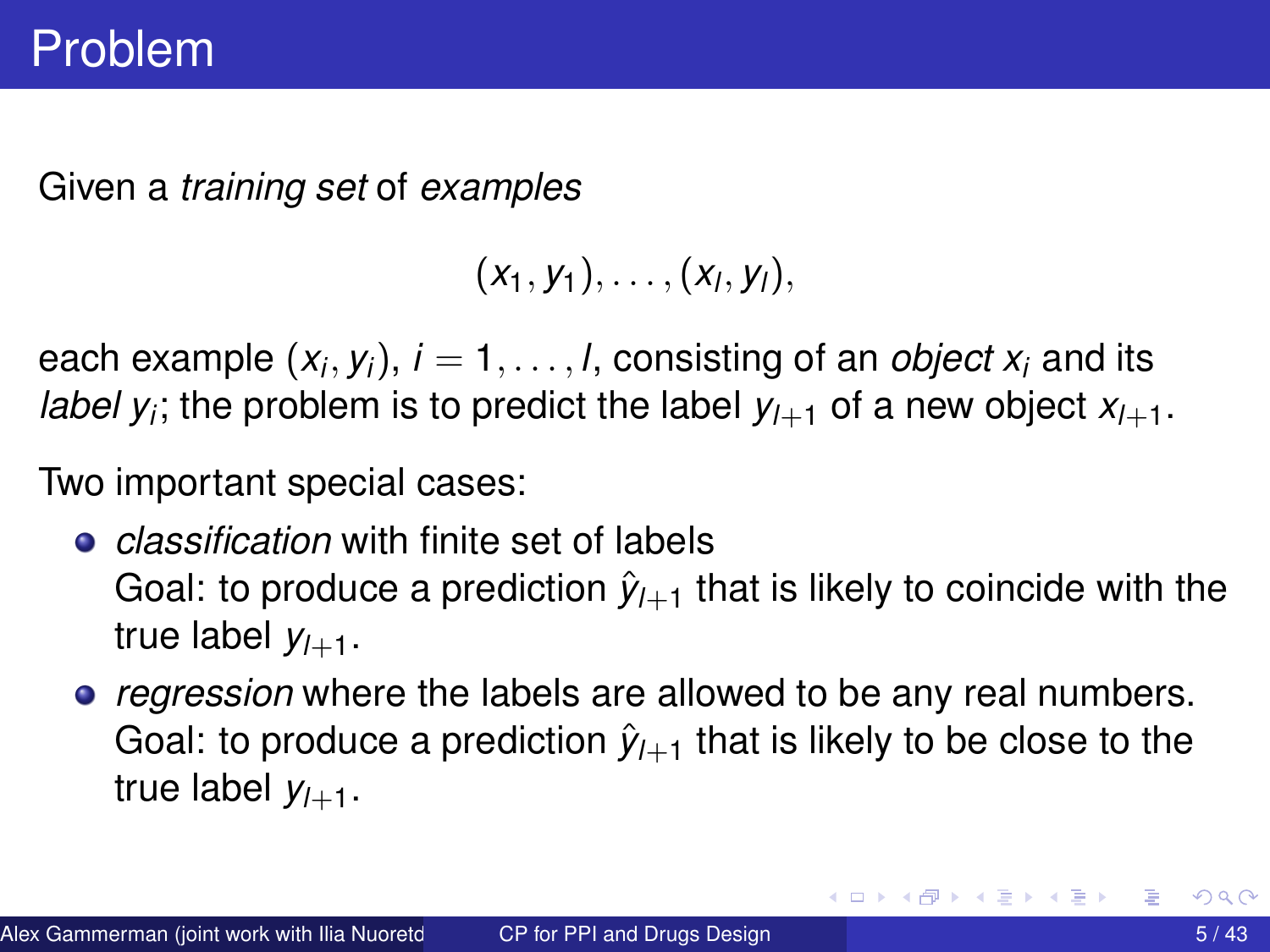<span id="page-4-0"></span>Given a *training set* of *examples*

$$
(x_1,y_1),\ldots,(x_l,y_l),
$$

each example  $(x_i, y_i),\, i=1,\ldots,l,$  consisting of an *object*  $x_i$  and its *label y<sub>i</sub>*; the problem is to predict the label  $y_{l+1}$  of a new object  $x_{l+1}$ .

Two important special cases:

- *classification* with finite set of labels Goal: to produce a prediction  $\hat{y}_{l+1}$  that is likely to coincide with the true label  $y_{l+1}$ .
- *regression* where the labels are allowed to be any real numbers. Goal: to produce a prediction  $\hat{y}_{l+1}$  that is likely to be close to the true label  $y_{l+1}$ .

 $\mathcal{A}$   $\overline{\mathcal{B}}$   $\rightarrow$   $\mathcal{A}$   $\overline{\mathcal{B}}$   $\rightarrow$   $\mathcal{A}$   $\overline{\mathcal{B}}$   $\rightarrow$   $\mathcal{B}$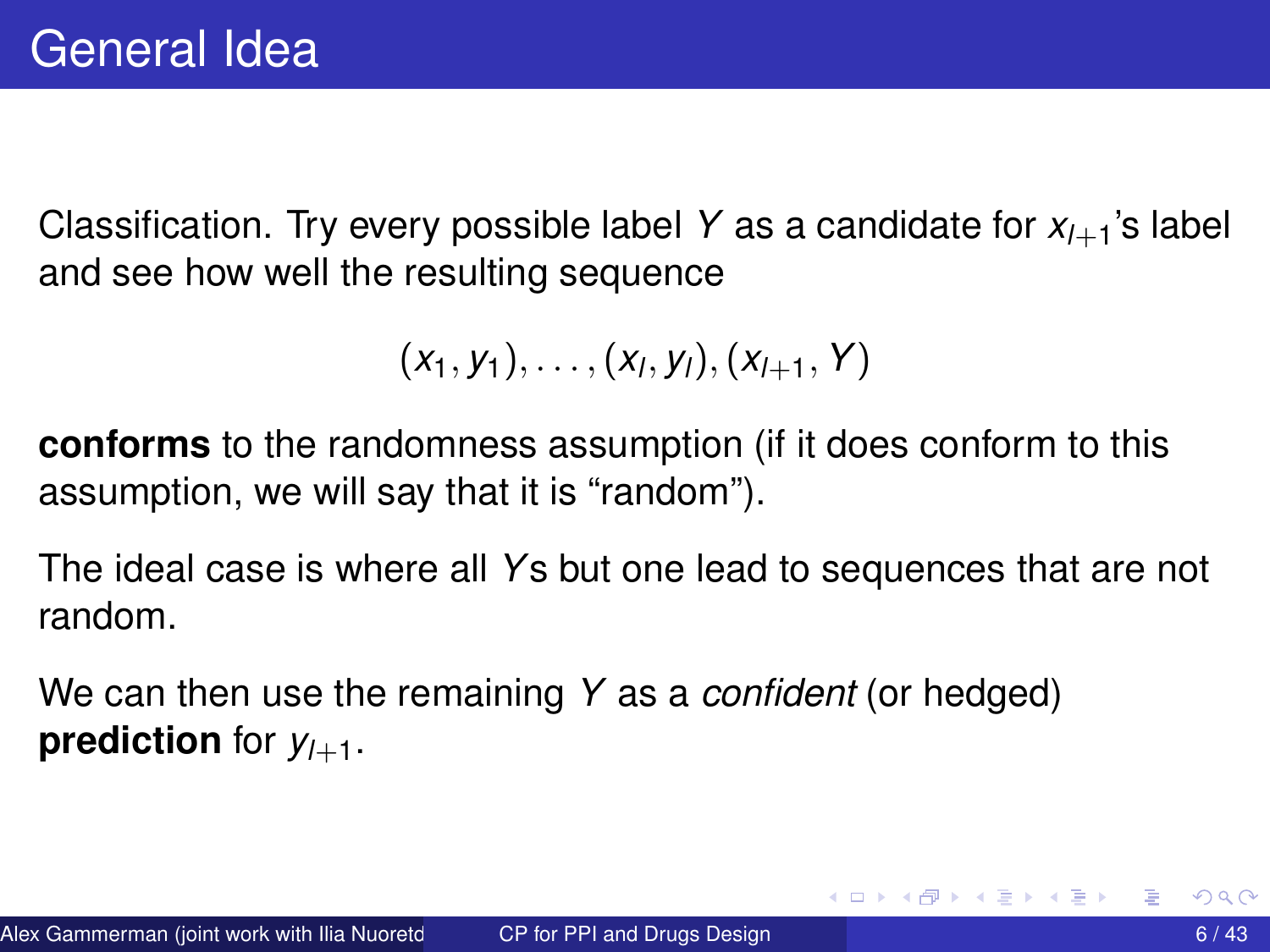Classification. Try every possible label *Y* as a candidate for *xl*+1's label and see how well the resulting sequence

$$
(x_1, y_1), \ldots, (x_l, y_l), (x_{l+1}, Y)
$$

**conforms** to the randomness assumption (if it does conform to this assumption, we will say that it is "random").

The ideal case is where all *Y*s but one lead to sequences that are not random.

We can then use the remaining *Y* as a *confident* (or hedged) **prediction** for  $y_{l+1}$ .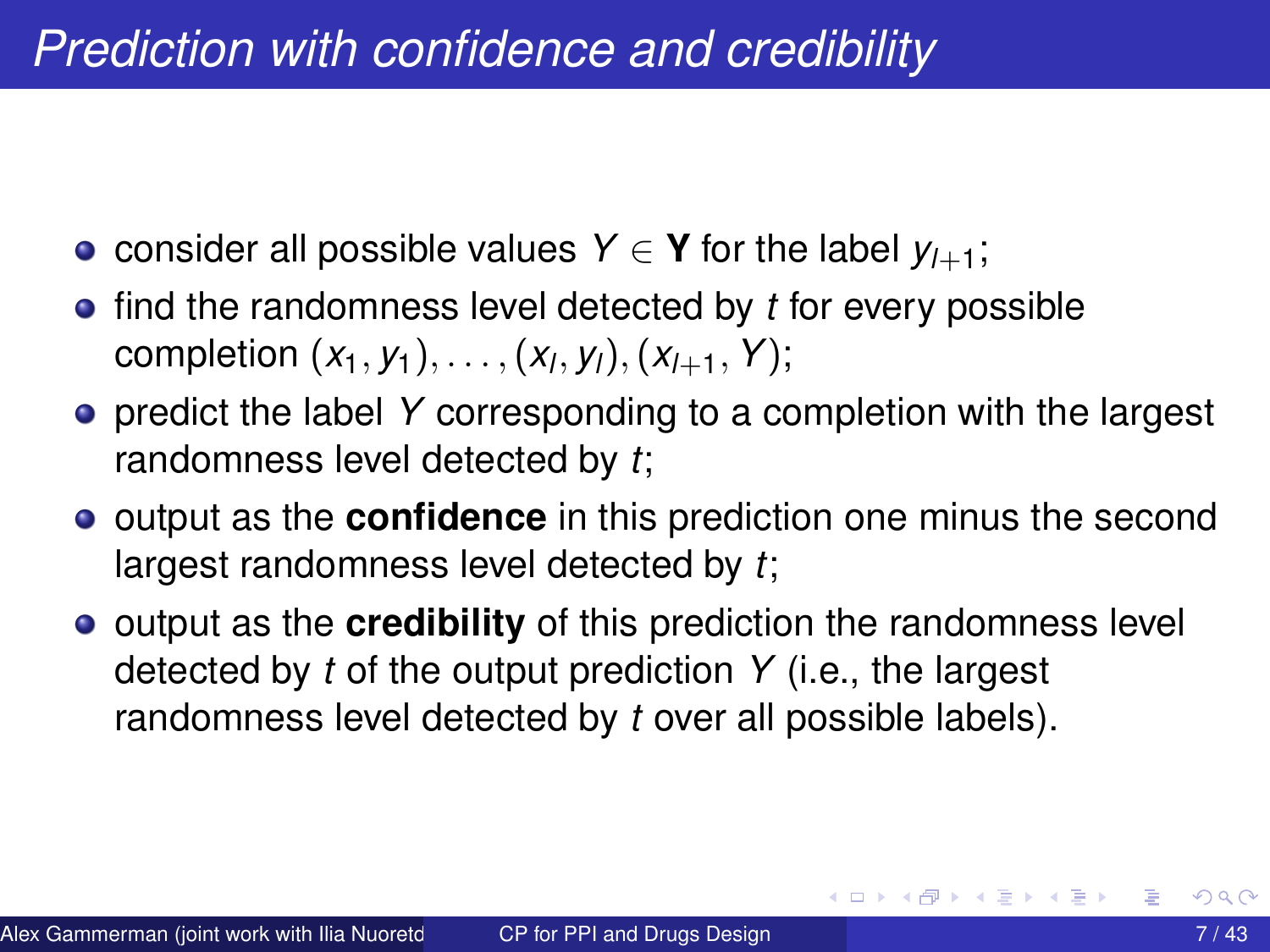- consider all possible values *Y* ∈ **Y** for the label  $y_{l+1}$ ;
- **•** find the randomness level detected by *t* for every possible completion (*x*1, *y*1), . . . ,(*x<sup>l</sup>* , *yl*),(*xl*+1, *Y*);
- **•** predict the label Y corresponding to a completion with the largest randomness level detected by *t*;
- **•** output as the **confidence** in this prediction one minus the second largest randomness level detected by *t*;
- **•** output as the **credibility** of this prediction the randomness level detected by *t* of the output prediction *Y* (i.e., the largest randomness level detected by *t* over all possible labels).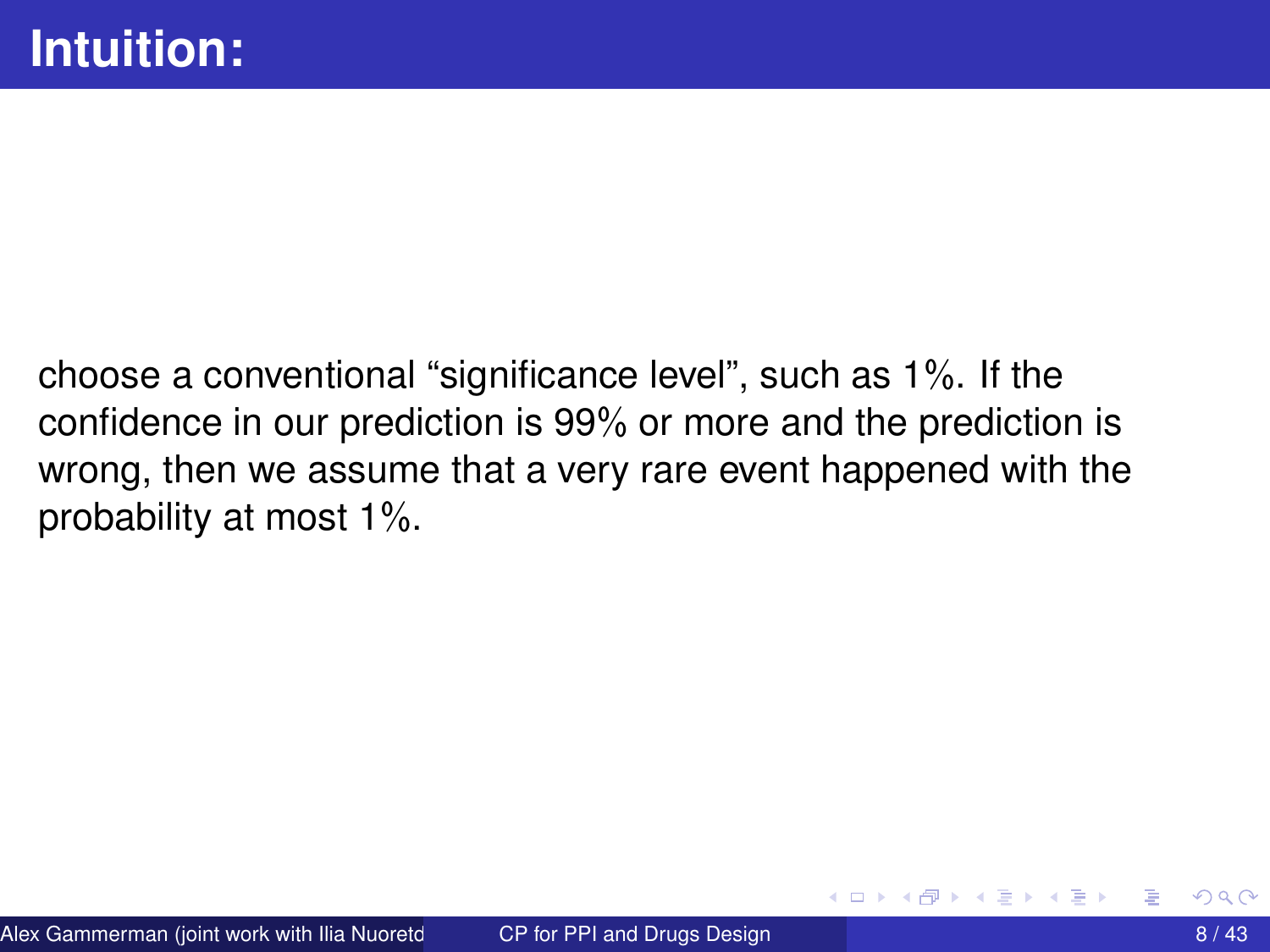choose a conventional "significance level", such as 1%. If the confidence in our prediction is 99% or more and the prediction is wrong, then we assume that a very rare event happened with the probability at most 1%.

4 ଲ ⊧

∋⇒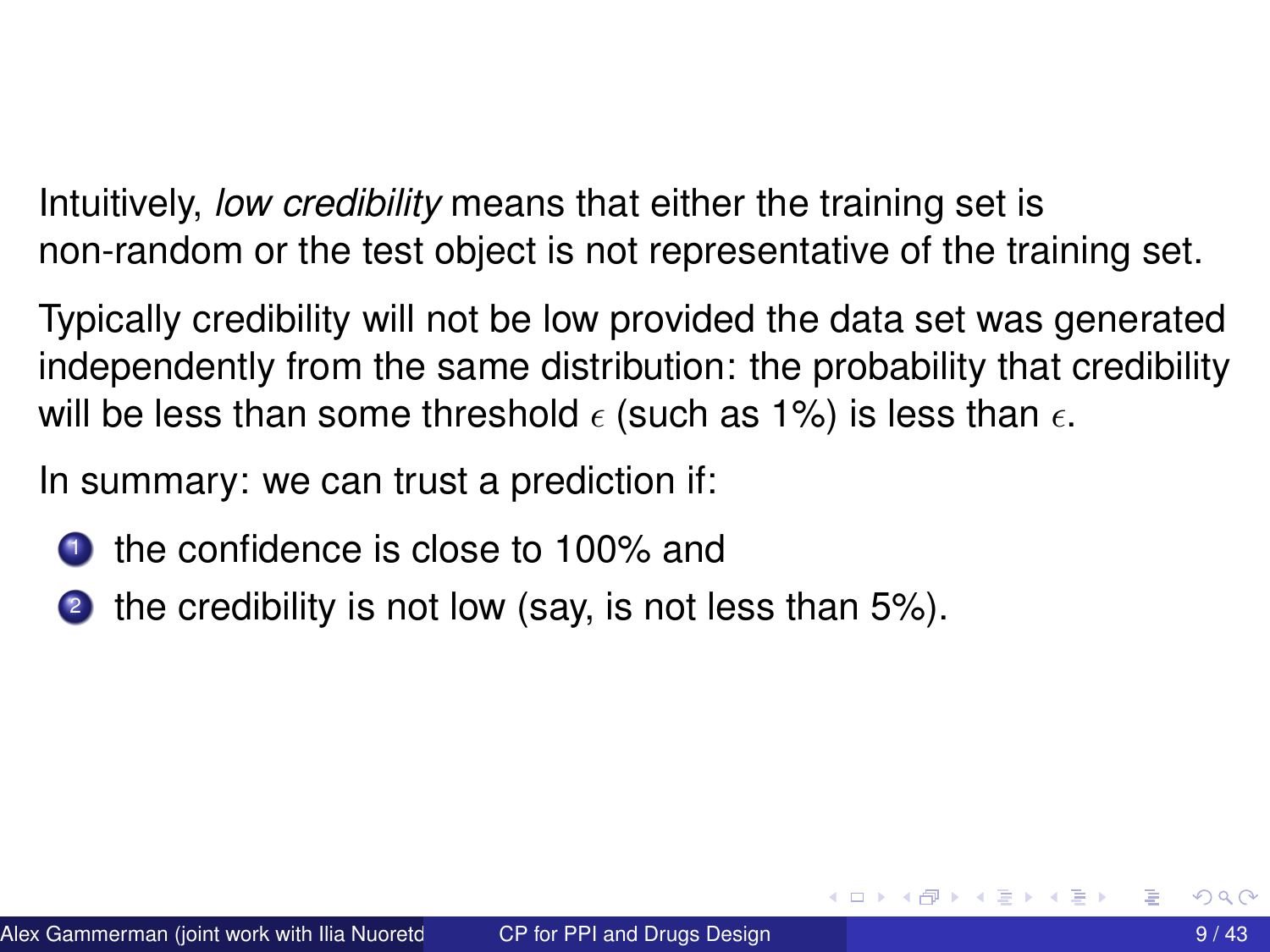Intuitively, *low credibility* means that either the training set is non-random or the test object is not representative of the training set.

Typically credibility will not be low provided the data set was generated independently from the same distribution: the probability that credibility will be less than some threshold  $\epsilon$  (such as 1%) is less than  $\epsilon$ .

In summary: we can trust a prediction if:

- **1** the confidence is close to 100% and
- 2 the credibility is not low (say, is not less than 5%).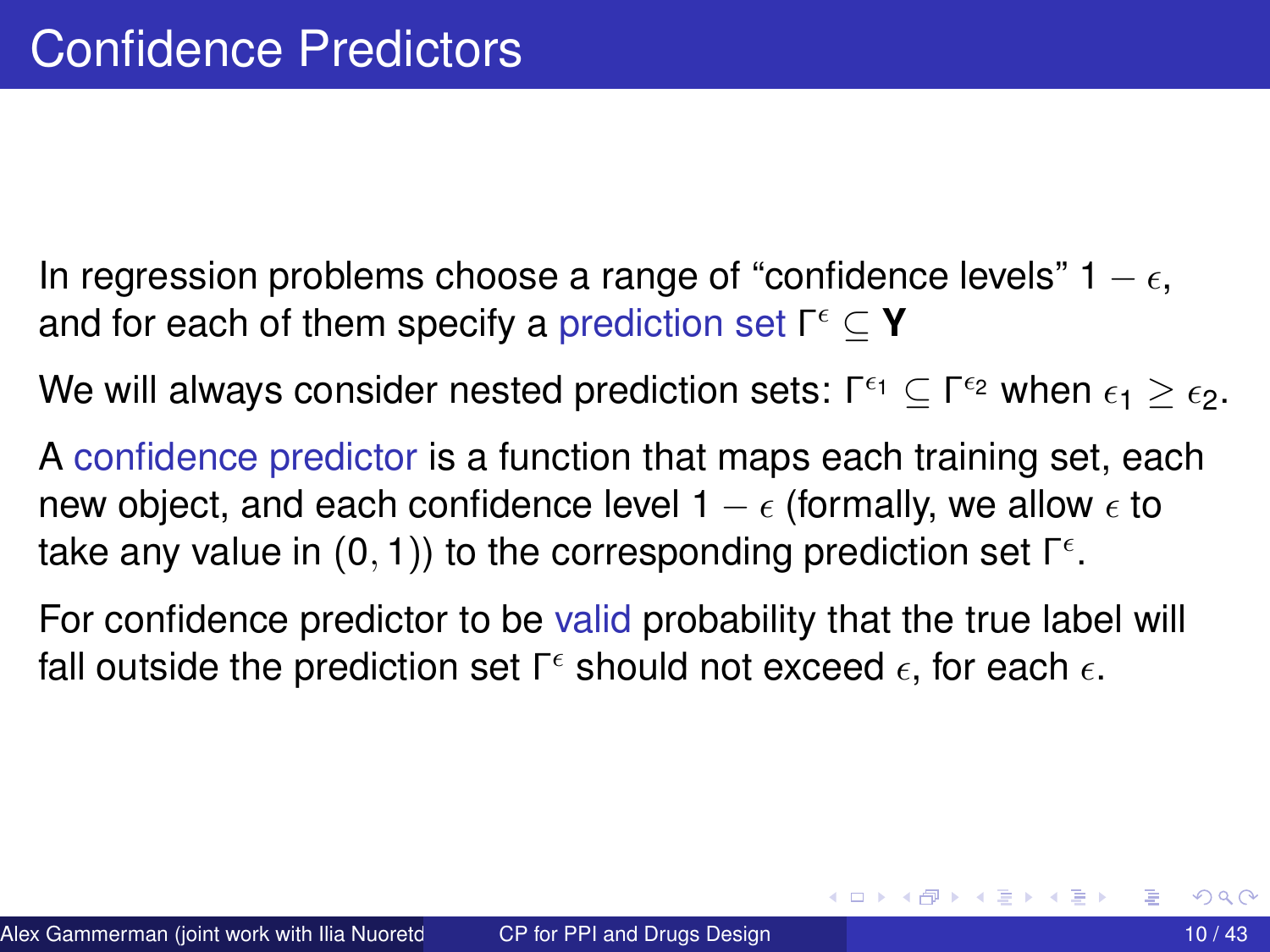- In regression problems choose a range of "confidence levels"  $1 \epsilon$ , and for each of them specify a prediction set Γ ⊆ **Y**
- We will always consider nested prediction sets: Γ<sup> $\epsilon_1 \subseteq$  Γ $^{\epsilon_2}$  when  $\epsilon_1 \geq \epsilon_2.$ </sup>
- A confidence predictor is a function that maps each training set, each new object, and each confidence level 1 –  $\epsilon$  (formally, we allow  $\epsilon$  to take any value in  $(0,1)$ ) to the corresponding prediction set  $\mathsf{\Gamma}^\epsilon.$
- For confidence predictor to be valid probability that the true label will fall outside the prediction set  $\mathsf{\Gamma}^\epsilon$  should not exceed  $\epsilon,$  for each  $\epsilon.$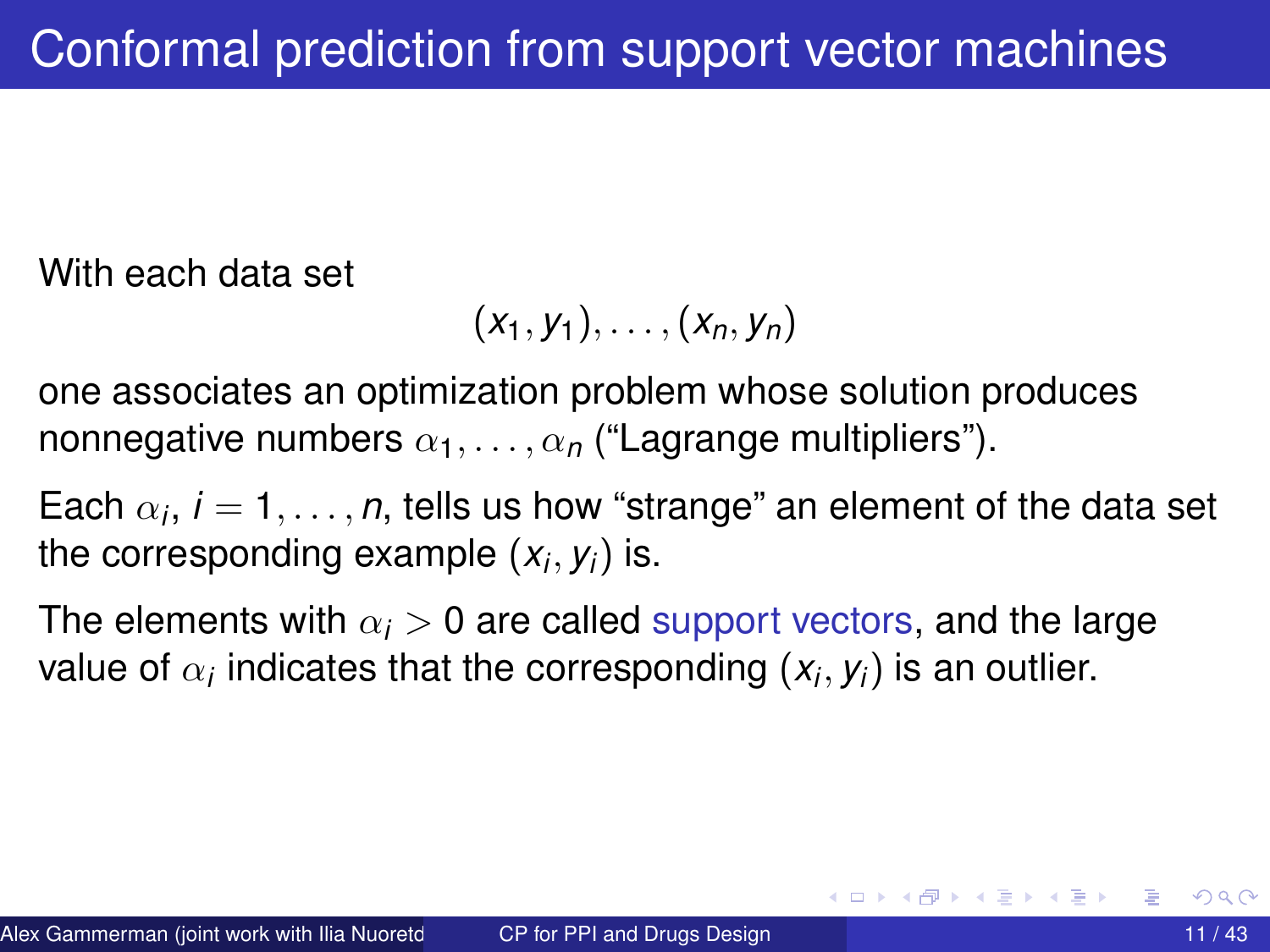With each data set

$$
(x_1,y_1),\ldots,(x_n,y_n)
$$

one associates an optimization problem whose solution produces nonnegative numbers  $\alpha_1, \ldots, \alpha_n$  ("Lagrange multipliers").

Each  $\alpha_i$ ,  $i=1,\ldots,n$ , tells us how "strange" an element of the data set the corresponding example (*x<sup>i</sup>* , *yi*) is.

The elements with  $\alpha_i > 0$  are called support vectors, and the large value of  $\alpha_i$  indicates that the corresponding  $(x_i, y_i)$  is an outlier.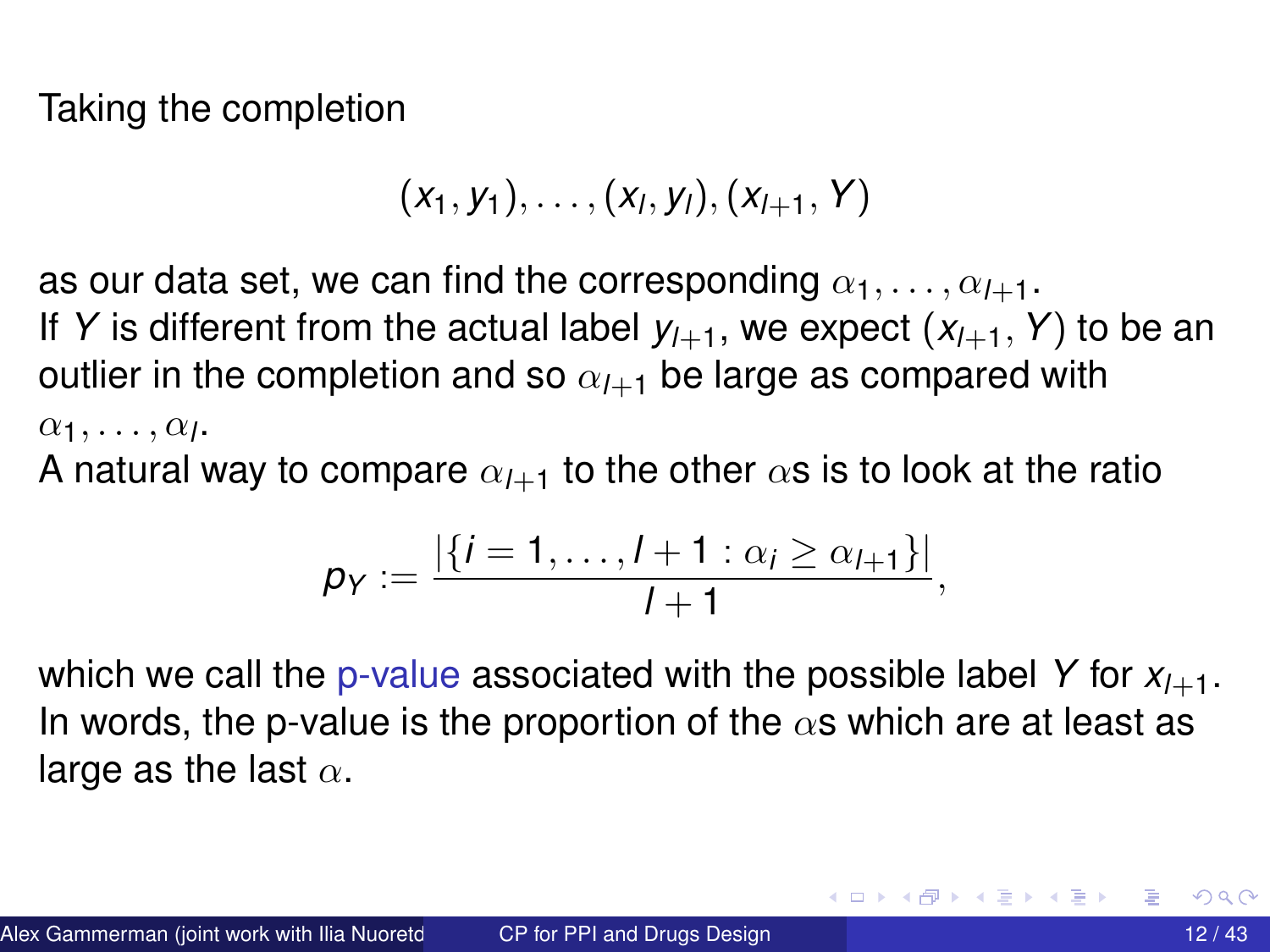Taking the completion

$$
(x_1, y_1), \ldots, (x_l, y_l), (x_{l+1}, Y)
$$

as our data set, we can find the corresponding  $\alpha_1, \ldots, \alpha_{l+1}$ . If *Y* is different from the actual label  $y_{l+1}$ , we expect  $(x_{l+1}, Y)$  to be an outlier in the completion and so  $\alpha_{l+1}$  be large as compared with  $\alpha_1, \ldots, \alpha_l$ .

A natural way to compare  $\alpha_{l+1}$  to the other  $\alpha$ s is to look at the ratio

$$
p_Y := \frac{|\{i = 1, \ldots, l + 1 : \alpha_i \geq \alpha_{l+1}\}|}{l+1},
$$

which we call the p-value associated with the possible label  $Y$  for  $X_{l+1}$ . In words, the p-value is the proportion of the  $\alpha$ s which are at least as large as the last  $\alpha$ .

 $\mathcal{A}$   $\overline{\mathcal{B}}$   $\rightarrow$   $\mathcal{A}$   $\overline{\mathcal{B}}$   $\rightarrow$   $\mathcal{A}$   $\overline{\mathcal{B}}$   $\rightarrow$   $\mathcal{B}$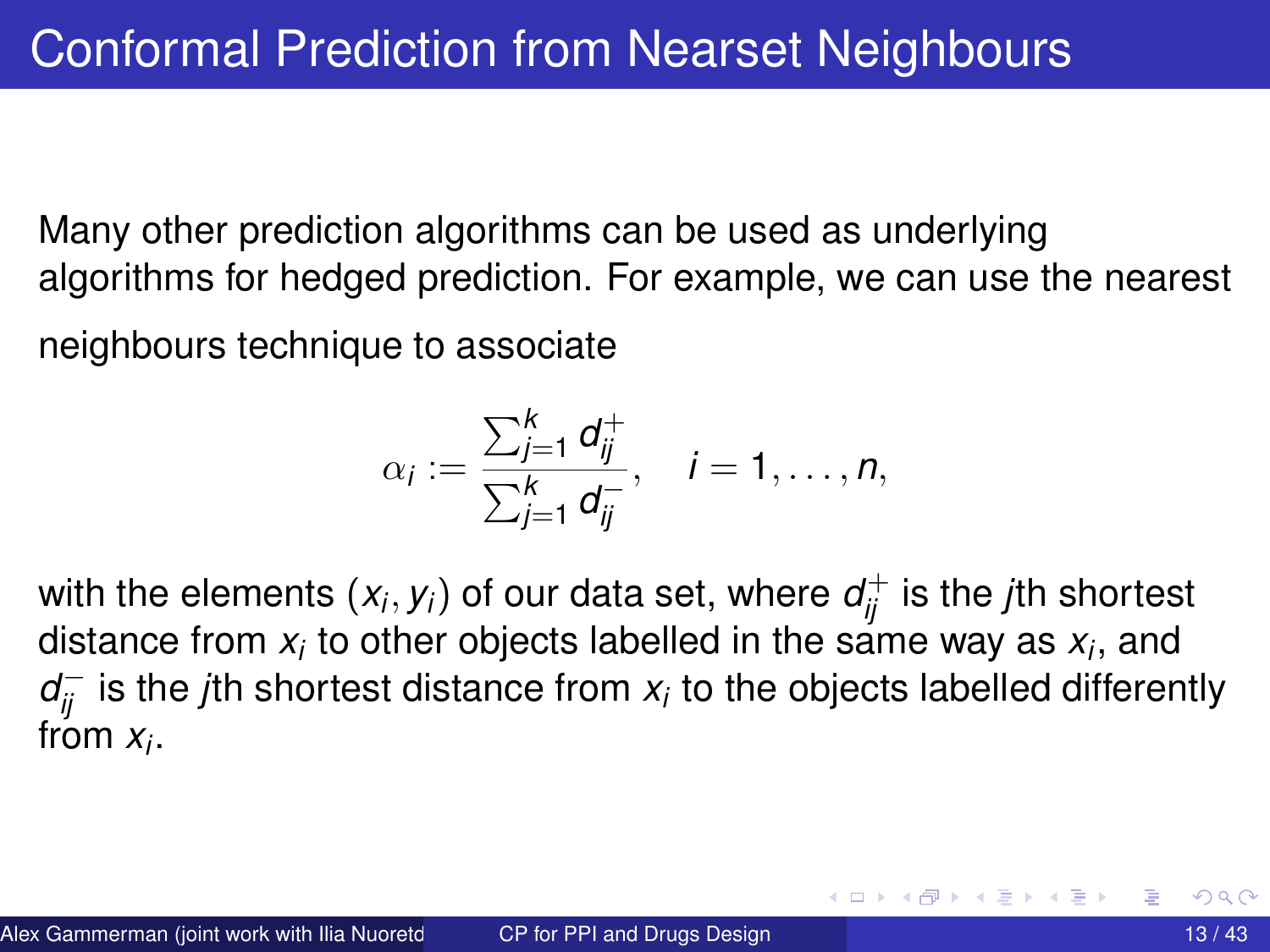Many other prediction algorithms can be used as underlying algorithms for hedged prediction. For example, we can use the nearest

neighbours technique to associate

$$
\alpha_i := \frac{\sum_{j=1}^k d_{ij}^+}{\sum_{j=1}^k d_{ij}^-}, \quad i = 1, \ldots, n,
$$

with the elements  $(x_i, y_i)$  of our data set, where  $d_{ij}^+$  is the *j*th shortest distance from  $x_i$  to other objects labelled in the same way as  $x_i$ , and  $d_{ij}^-$  is the *j*th shortest distance from  $x_i$  to the objects labelled differently from *x<sup>i</sup>* .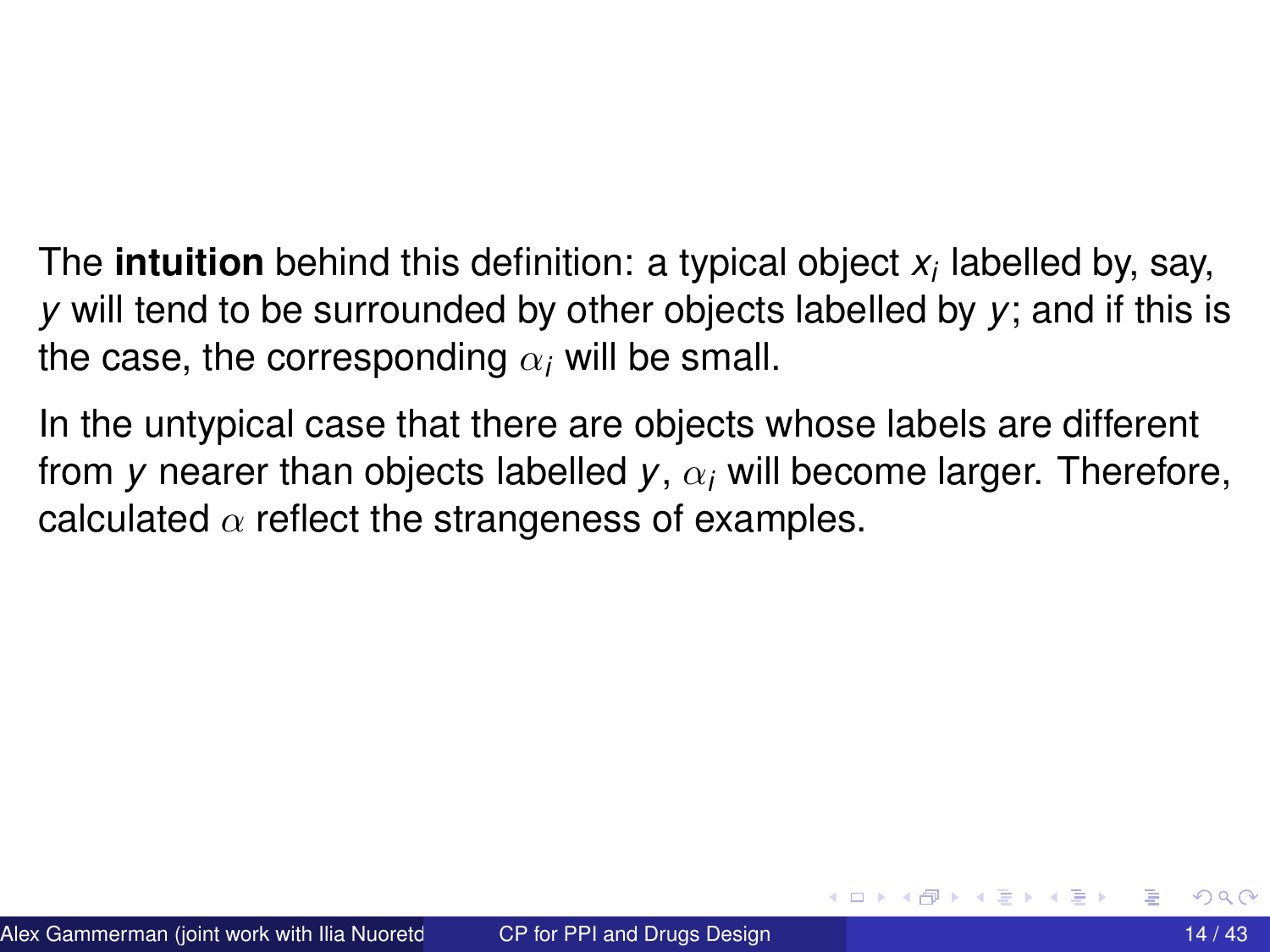The **intuition** behind this definition: a typical object *x<sup>i</sup>* labelled by, say, *y* will tend to be surrounded by other objects labelled by *y*; and if this is the case, the corresponding  $\alpha_i$  will be small.

In the untypical case that there are objects whose labels are different from *y* nearer than objects labelled  $y$ ,  $\alpha_i$  will become larger. Therefore, calculated  $\alpha$  reflect the strangeness of examples.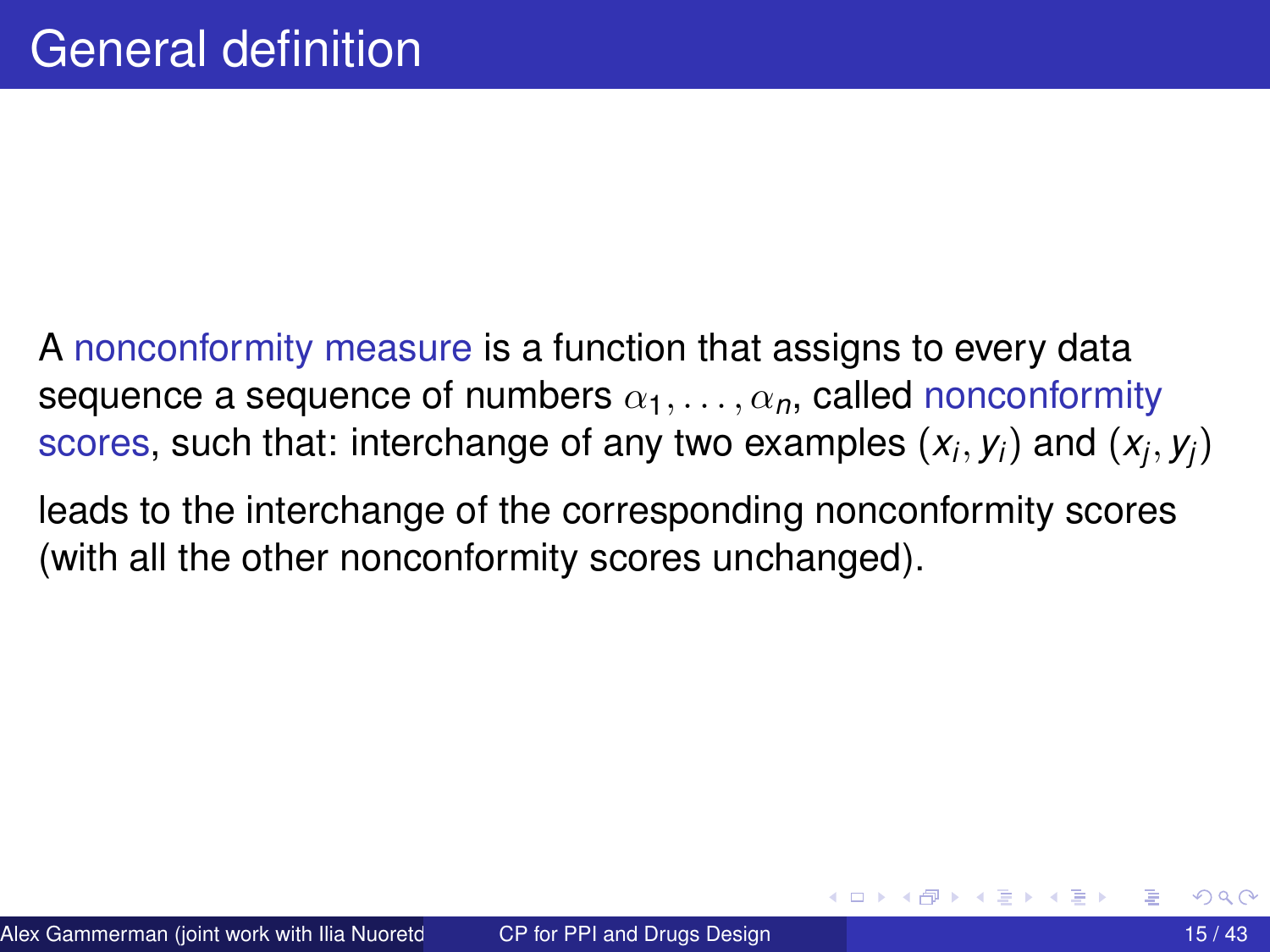- A nonconformity measure is a function that assigns to every data sequence a sequence of numbers  $\alpha_1, \ldots, \alpha_n$ , called nonconformity scores, such that: interchange of any two examples  $(x_i, y_i)$  and  $(x_j, y_j)$
- leads to the interchange of the corresponding nonconformity scores (with all the other nonconformity scores unchanged).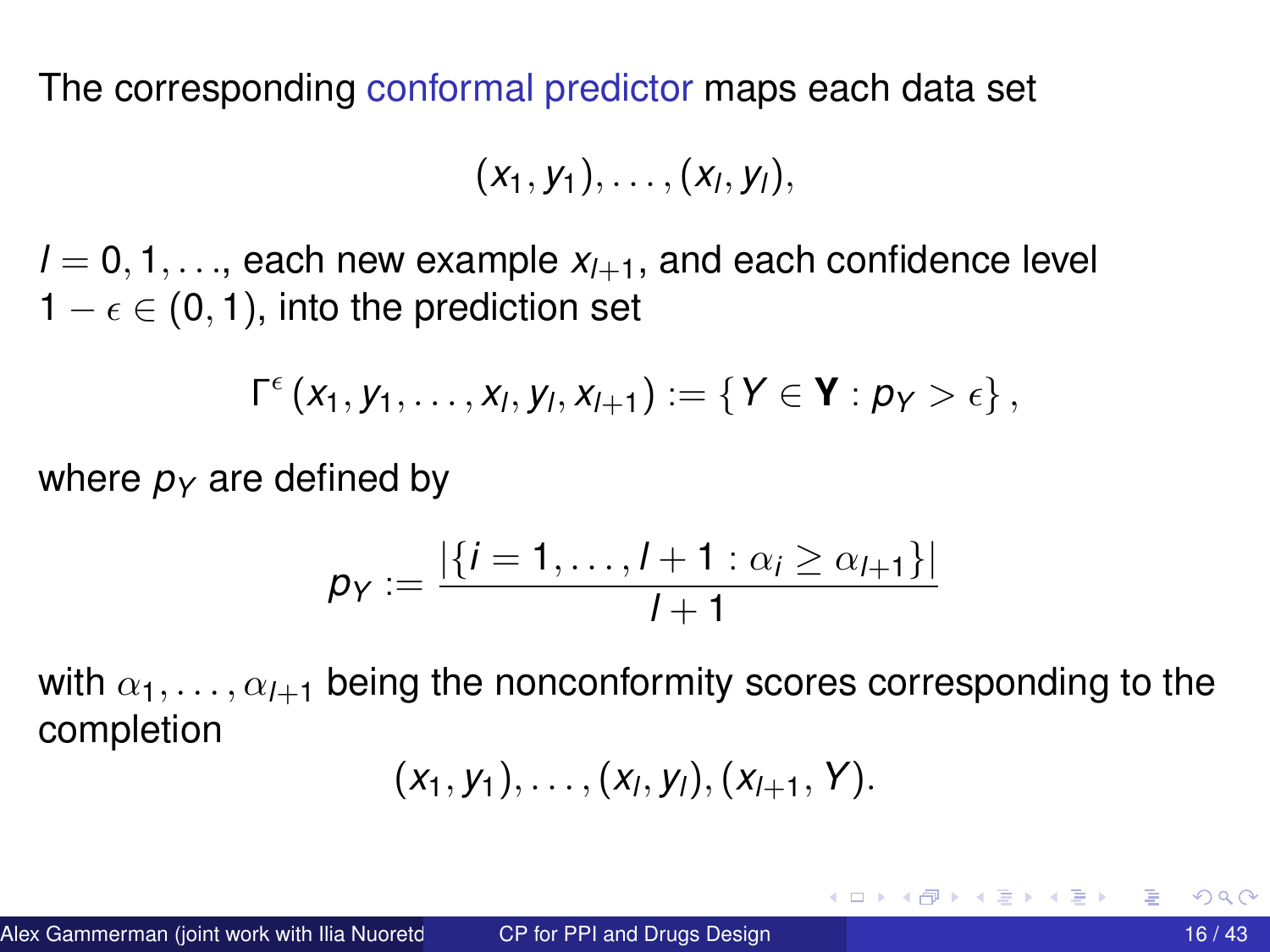The corresponding conformal predictor maps each data set

$$
(x_1,y_1),\ldots,(x_l,y_l),
$$

 $l = 0, 1, \ldots$ , each new example  $x_{l+1}$ , and each confidence level  $1 - \epsilon \in (0, 1)$ , into the prediction set

$$
\Gamma^\epsilon\left(x_1,y_1,\ldots,x_l,y_l,x_{l+1}\right):=\left\{Y\in\mathbf{Y}:p_Y>\epsilon\right\},
$$

where  $p_Y$  are defined by

$$
p_Y := \frac{|\{i = 1, \ldots, l + 1 : \alpha_i \geq \alpha_{l+1}\}|}{l+1}
$$

with  $\alpha_1, \ldots, \alpha_{l+1}$  being the nonconformity scores corresponding to the completion

$$
(x_1,y_1),\ldots,(x_l,y_l),(x_{l+1},Y).
$$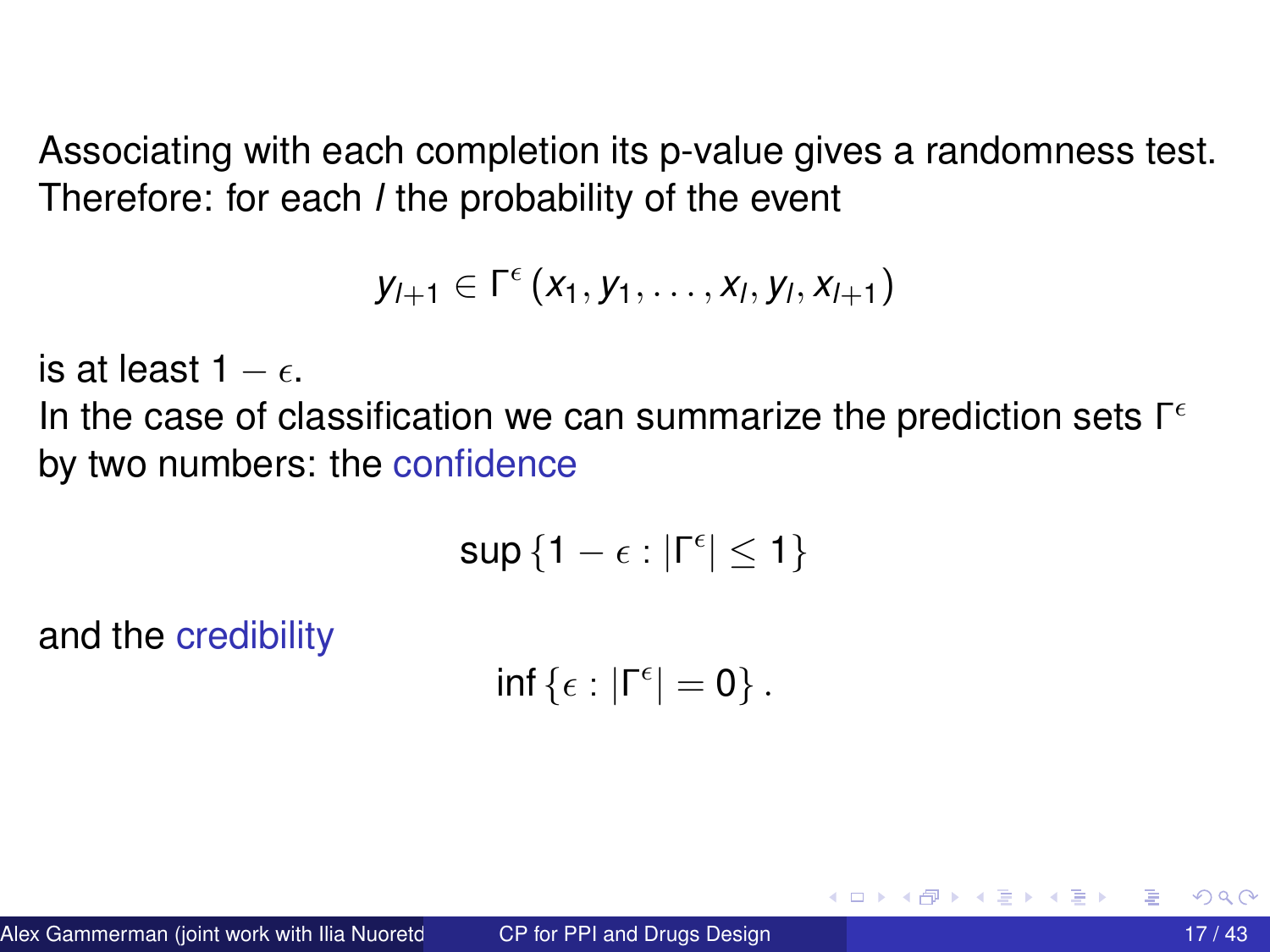Associating with each completion its p-value gives a randomness test. Therefore: for each *l* the probability of the event

$$
y_{l+1} \in \Gamma^{\epsilon}(x_1,y_1,\ldots,x_l,y_l,x_{l+1})
$$

is at least  $1 - \epsilon$ .

In the case of classification we can summarize the prediction sets  $\Gamma^{\epsilon}$ by two numbers: the confidence

$$
\sup\left\{1-\epsilon:|\Gamma^\epsilon|\leq 1\right\}
$$

and the credibility

$$
\inf\left\{\epsilon:|\Gamma^\epsilon|=0\right\}.
$$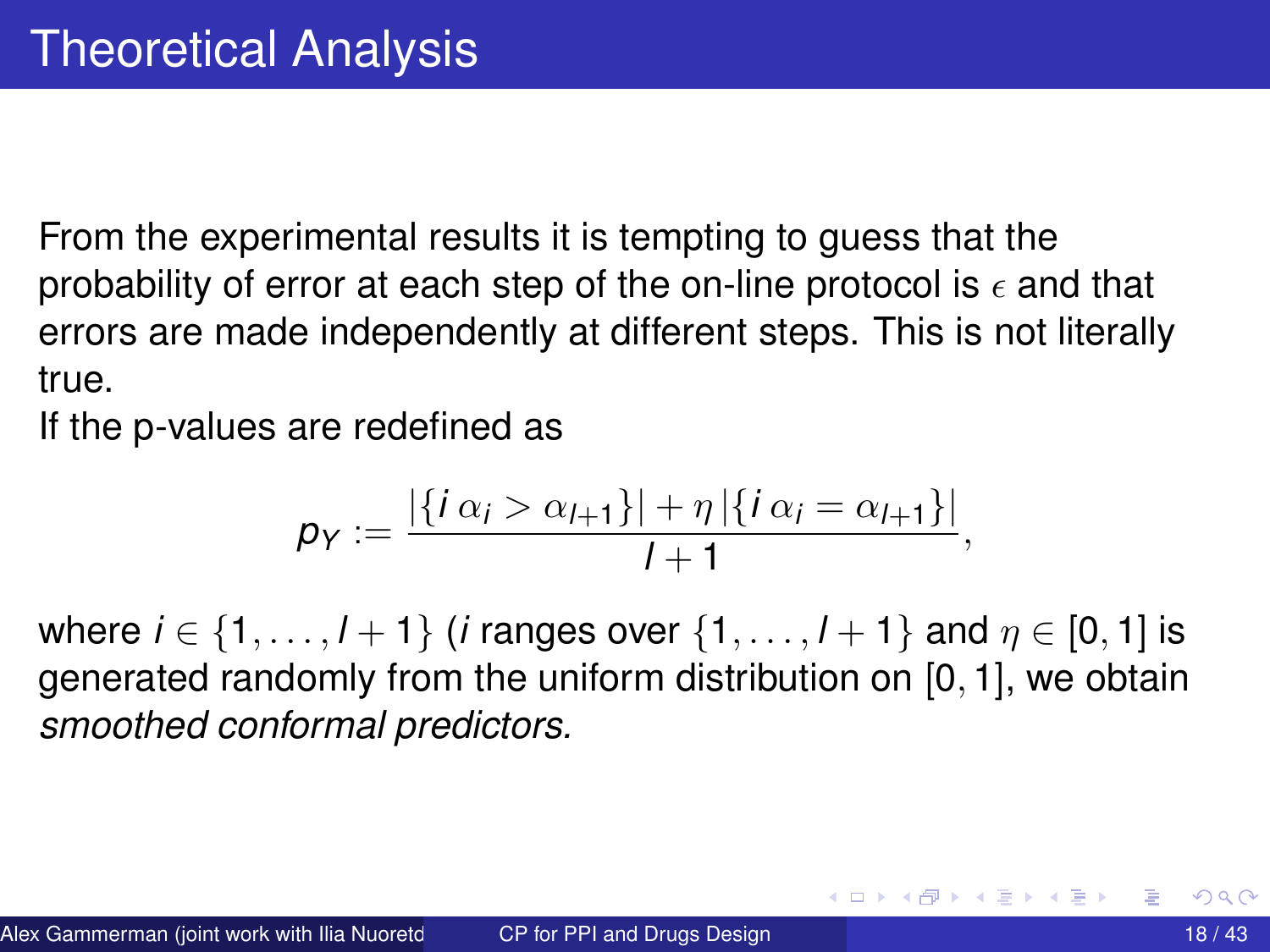From the experimental results it is tempting to guess that the probability of error at each step of the on-line protocol is  $\epsilon$  and that errors are made independently at different steps. This is not literally true.

If the p-values are redefined as

$$
p_Y := \frac{|\{i\alpha_i > \alpha_{i+1}\}| + \eta |\{i\alpha_i = \alpha_{i+1}\}|}{1+1},
$$

where  $i \in \{1, ..., l + 1\}$  (*i* ranges over  $\{1, ..., l + 1\}$  and  $\eta \in [0, 1]$  is generated randomly from the uniform distribution on [0, 1], we obtain *smoothed conformal predictors.*

イロト イ押 トイラト イラト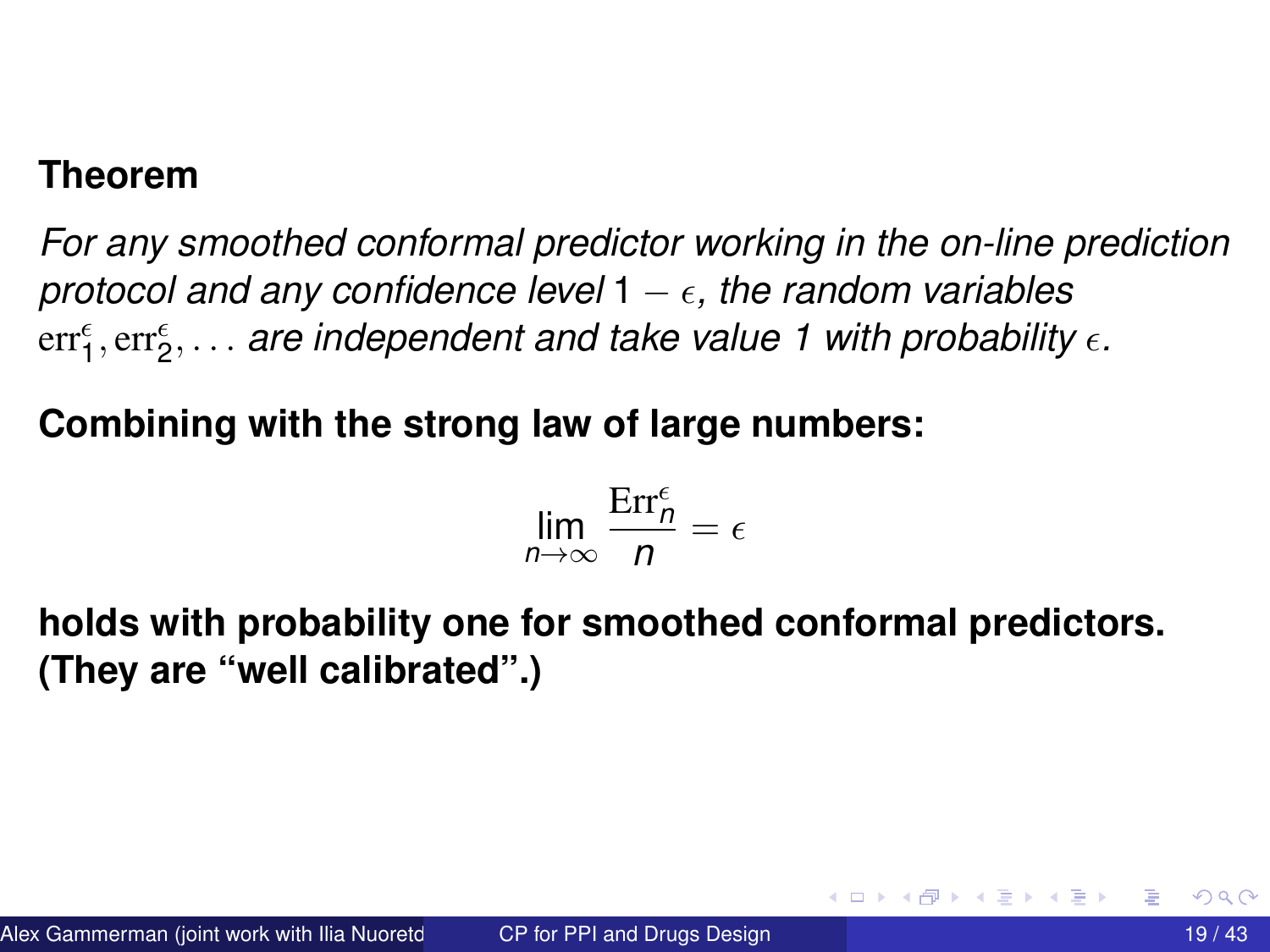#### **Theorem**

*For any smoothed conformal predictor working in the on-line prediction protocol and any confidence level*  $1 - \epsilon$ , the random variables err $_{1}^{\epsilon},$  err $_{2}^{\epsilon},$   $\ldots$  *are independent and take value 1 with probability*  $\epsilon.$ 

#### **Combining with the strong law of large numbers:**

$$
\lim_{n\to\infty}\frac{\text{Err}_n^{\epsilon}}{n}=\epsilon
$$

**holds with probability one for smoothed conformal predictors. (They are "well calibrated".)**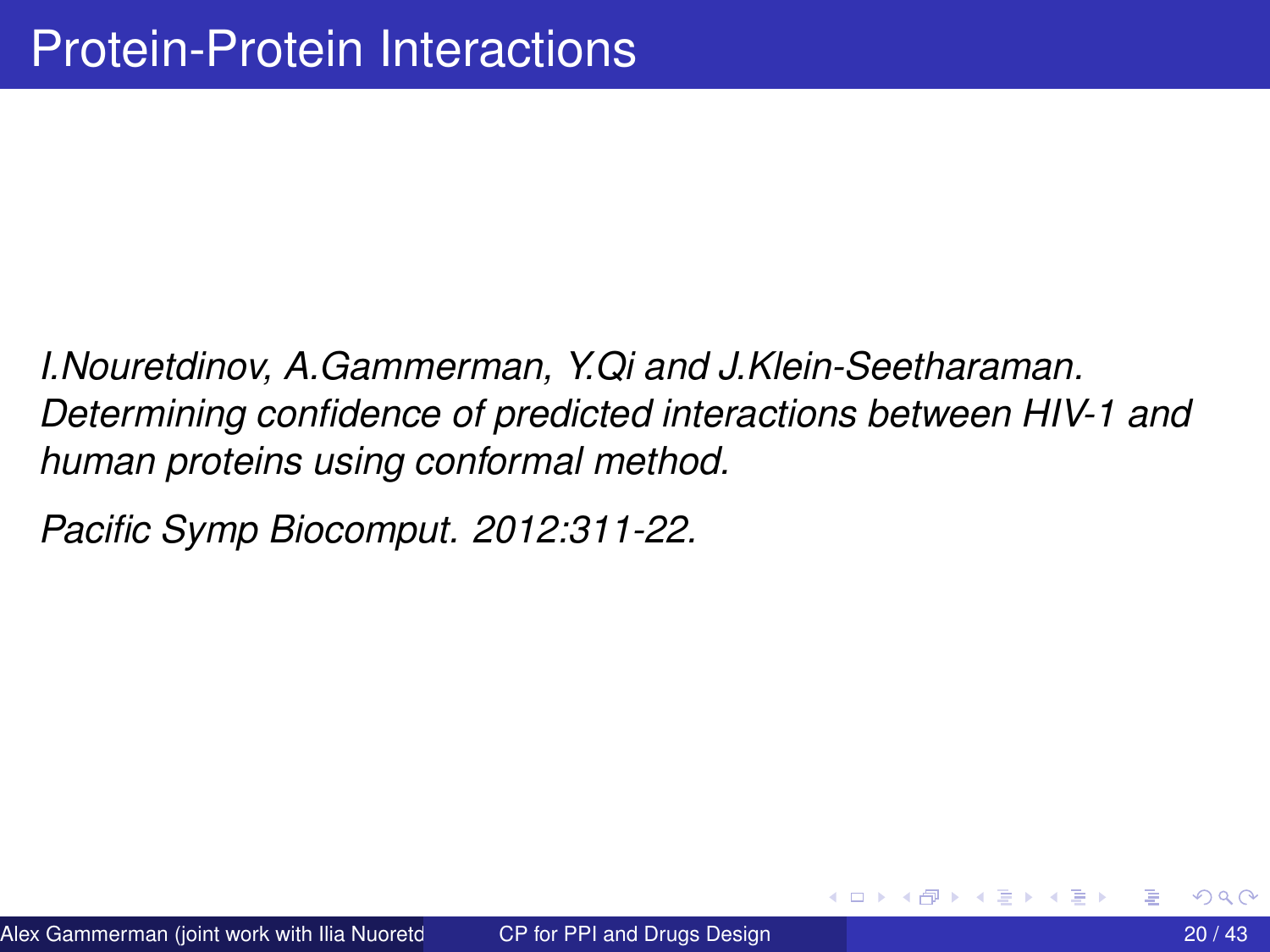<span id="page-19-0"></span>*I.Nouretdinov, A.Gammerman, Y.Qi and J.Klein-Seetharaman. Determining confidence of predicted interactions between HIV-1 and human proteins using conformal method.*

*Pacific Symp Biocomput. 2012:311-22.*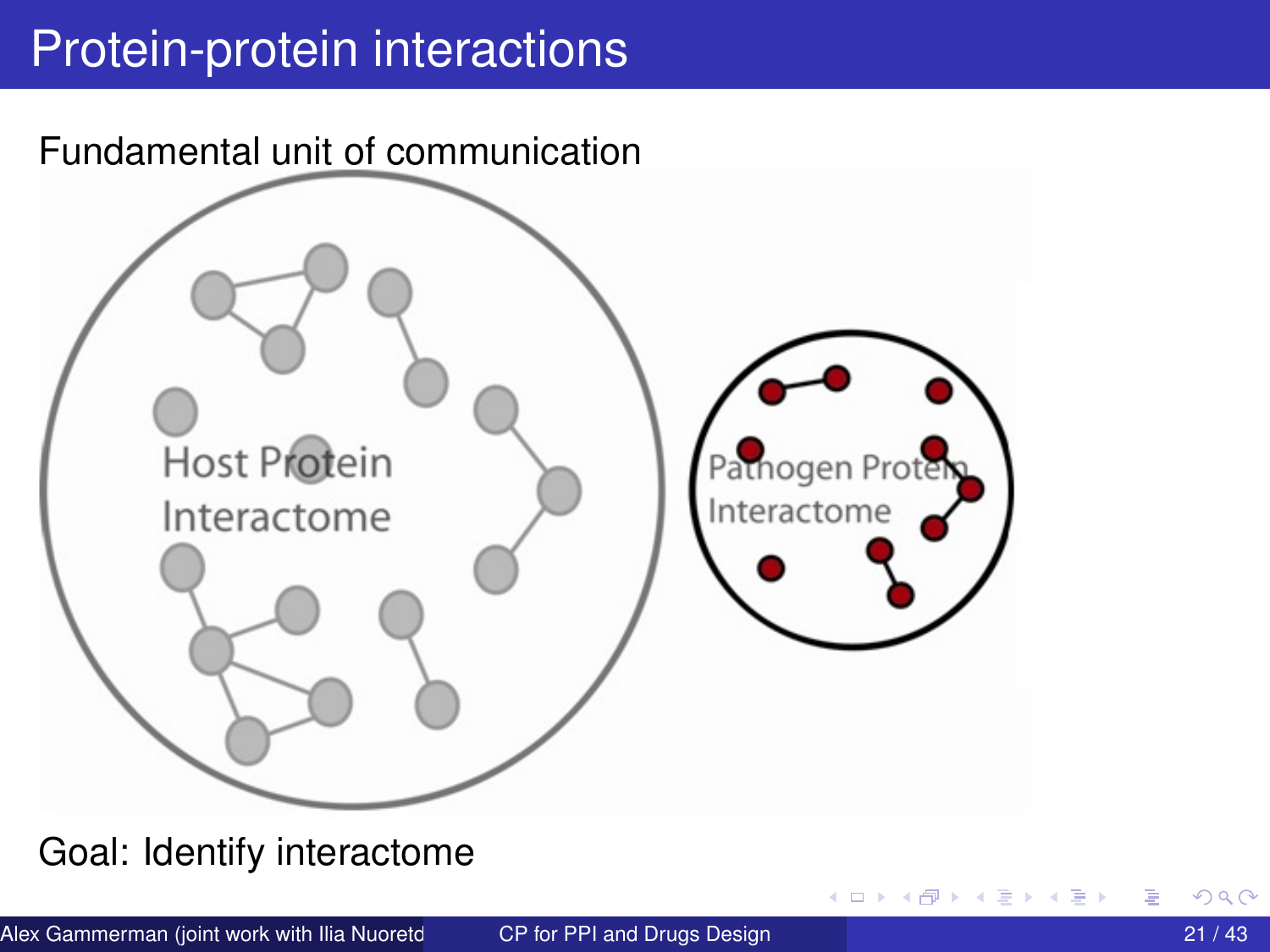# Protein-protein interactions



Goal: Identify interactome

4 D.K. 4 ଲ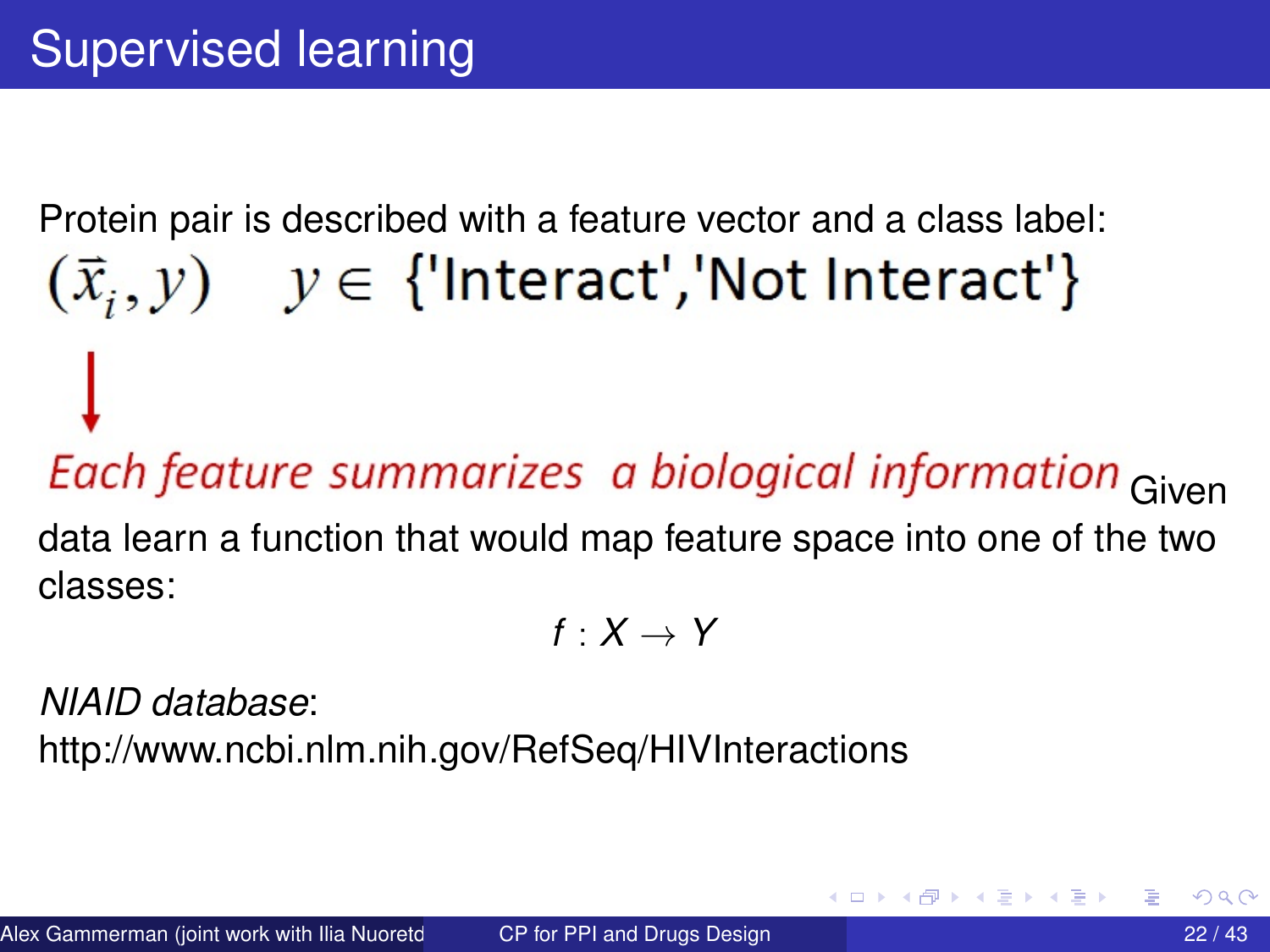# Protein pair is described with a feature vector and a class label:  $(\vec{x}, y)$   $y \in$  {'Interact','Not Interact'}

# Each feature summarizes a biological information Given

data learn a function that would map feature space into one of the two classes:

$$
f:X\to Y
$$

*NIAID database*:

http://www.ncbi.nlm.nih.gov/RefSeq/HIVInteractions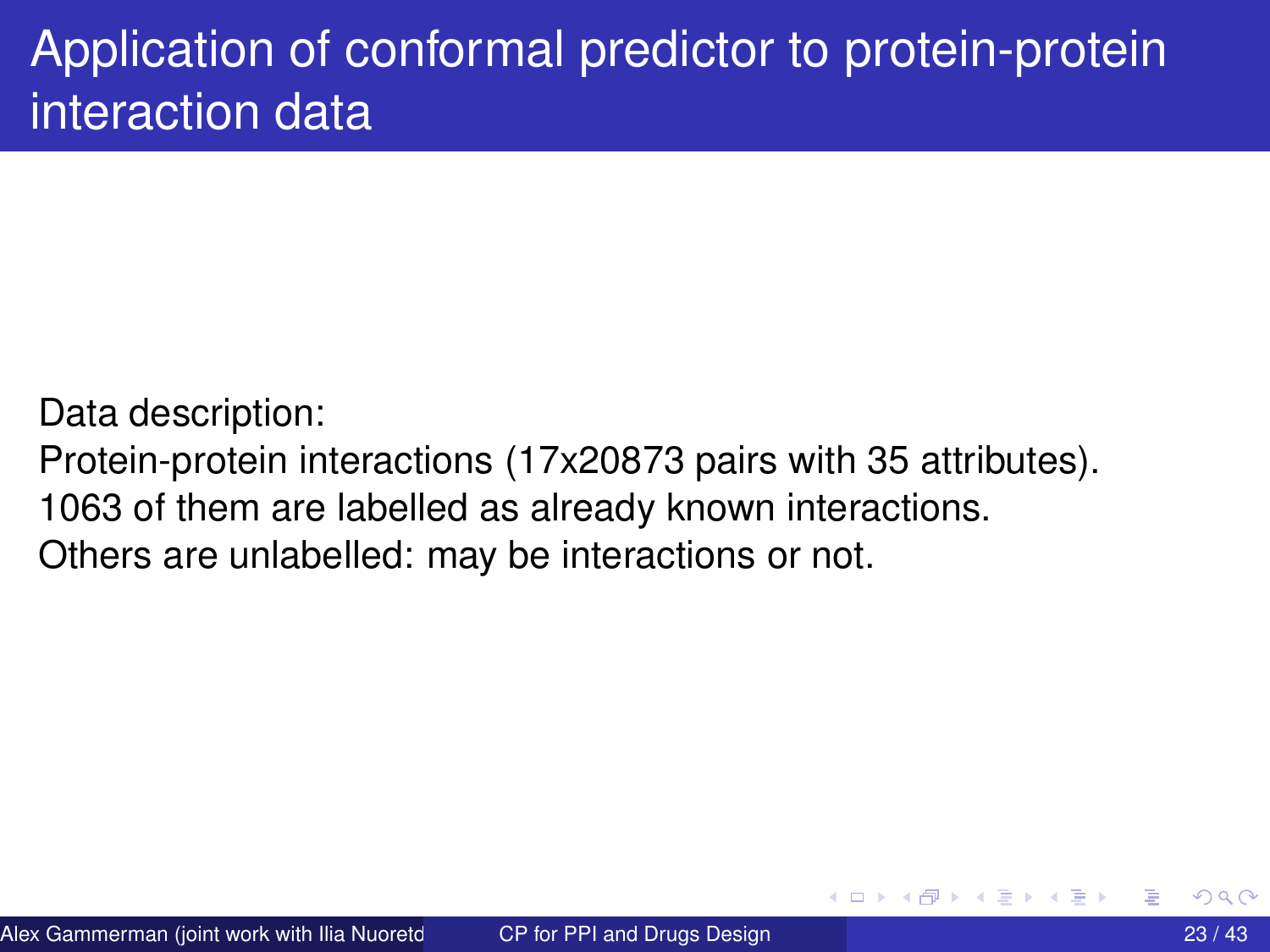# Application of conformal predictor to protein-protein interaction data

Data description:

Protein-protein interactions (17x20873 pairs with 35 attributes).

1063 of them are labelled as already known interactions.

Others are unlabelled: may be interactions or not.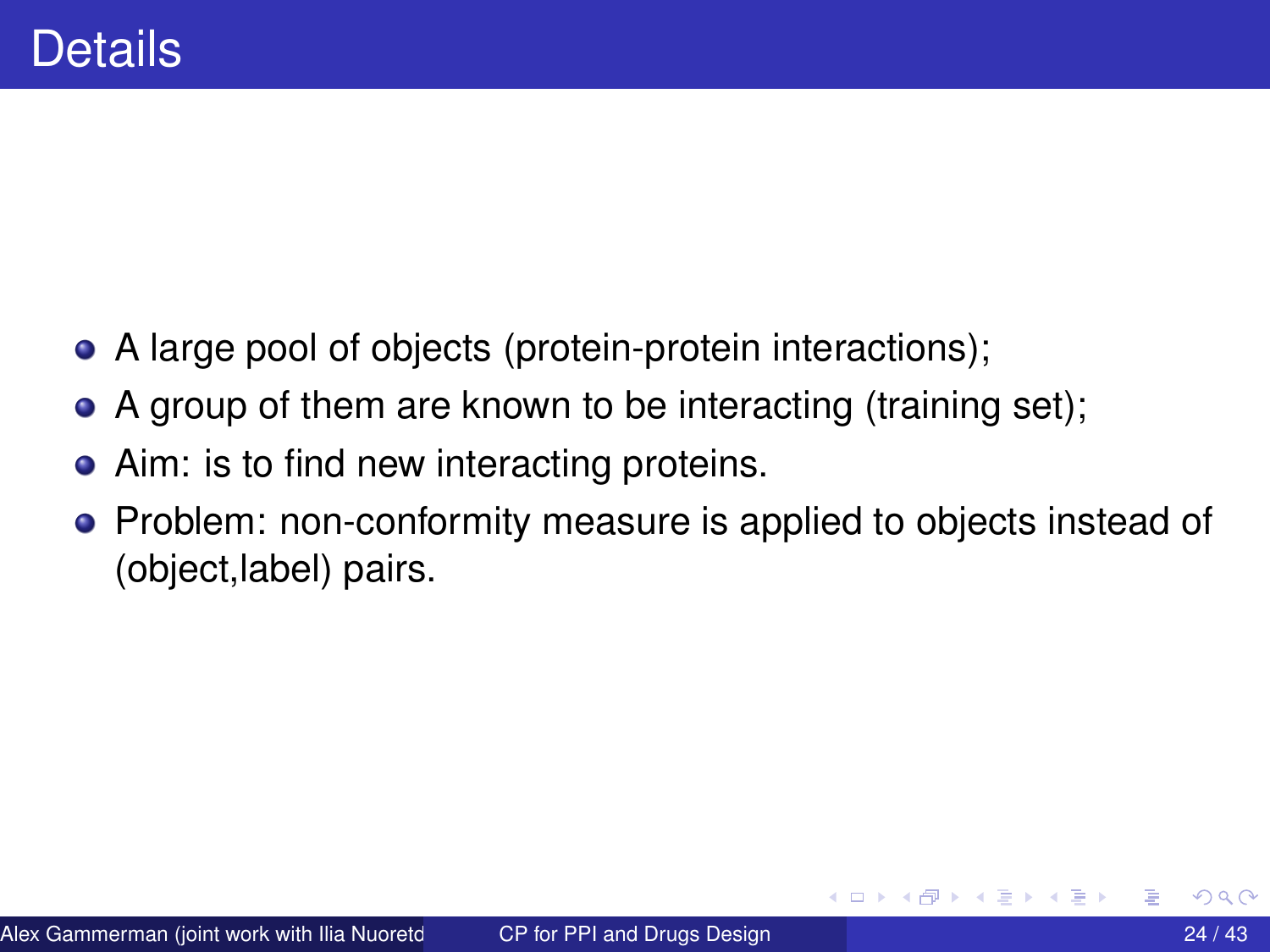- A large pool of objects (protein-protein interactions);
- A group of them are known to be interacting (training set);
- Aim: is to find new interacting proteins.
- Problem: non-conformity measure is applied to objects instead of (object,label) pairs.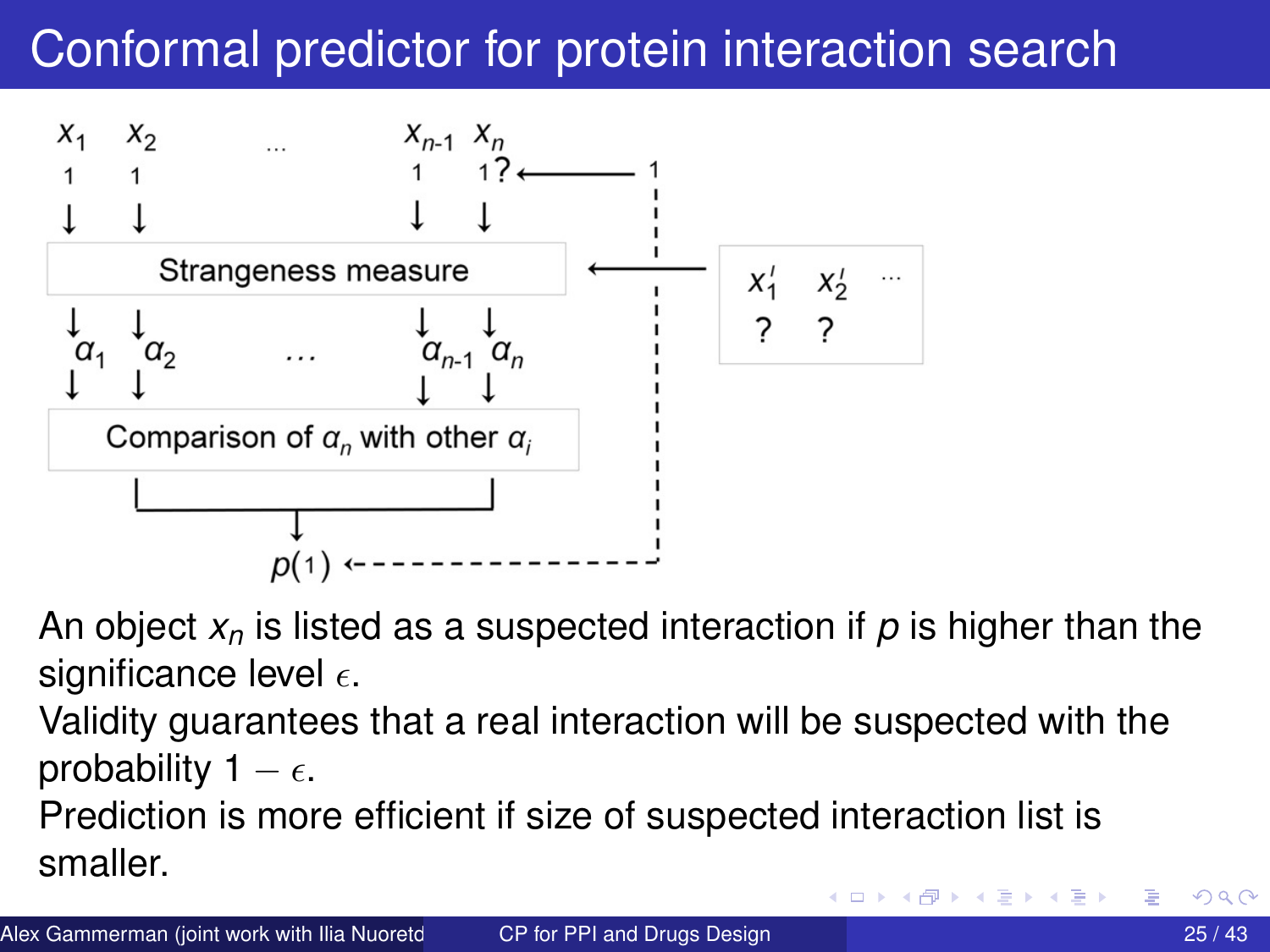# Conformal predictor for protein interaction search



- An object *x<sup>n</sup>* is listed as a suspected interaction if *p* is higher than the significance level  $\epsilon$ .
- Validity guarantees that a real interaction will be suspected with the probability 1 –  $\epsilon$ .
- Prediction is more efficient if size of suspected interaction list is smaller.

4 ロ ト ィ *ロ* ト ィ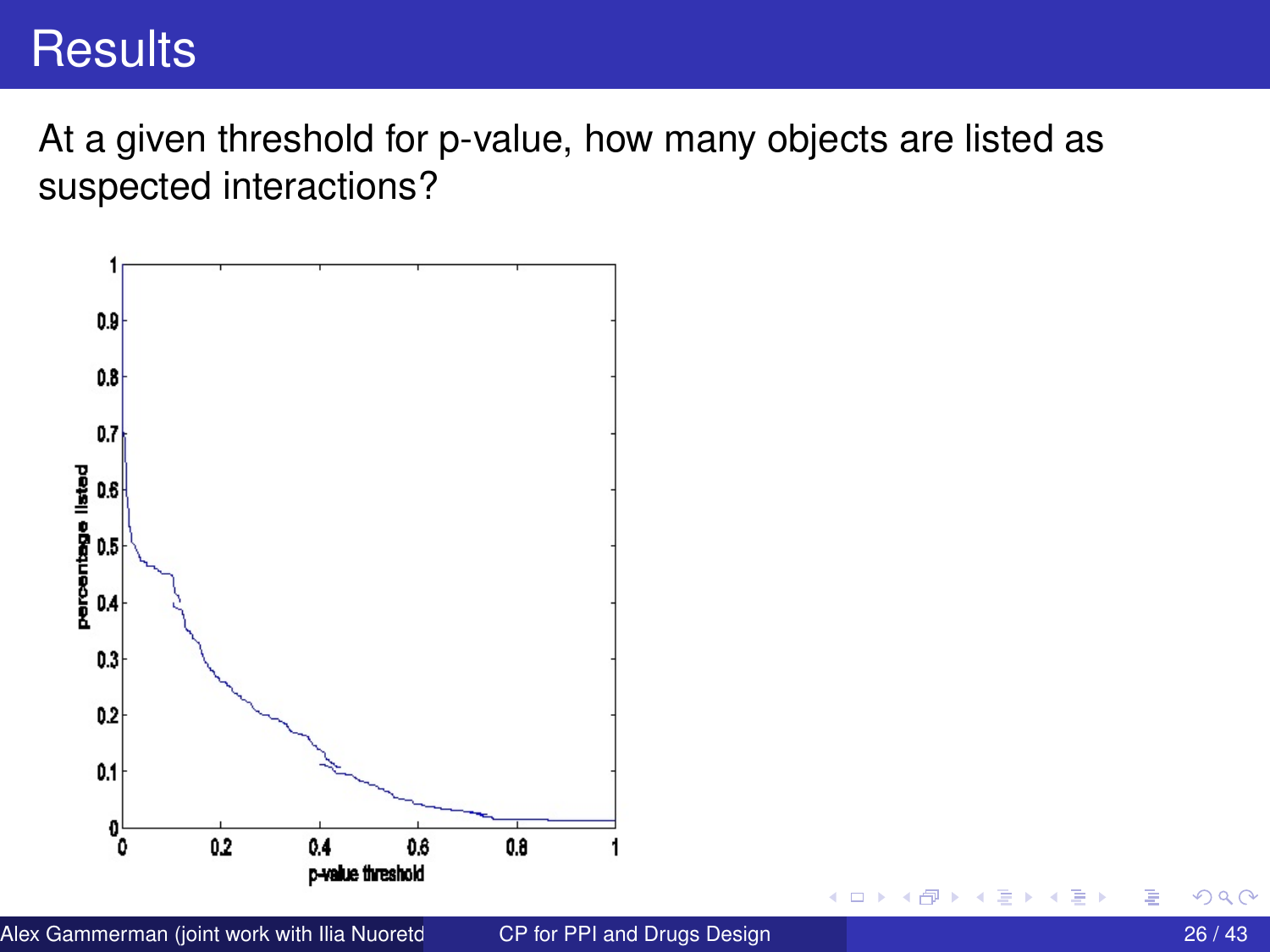## **Results**

At a given threshold for p-value, how many objects are listed as suspected interactions?



4 0 8

画

×.

Þ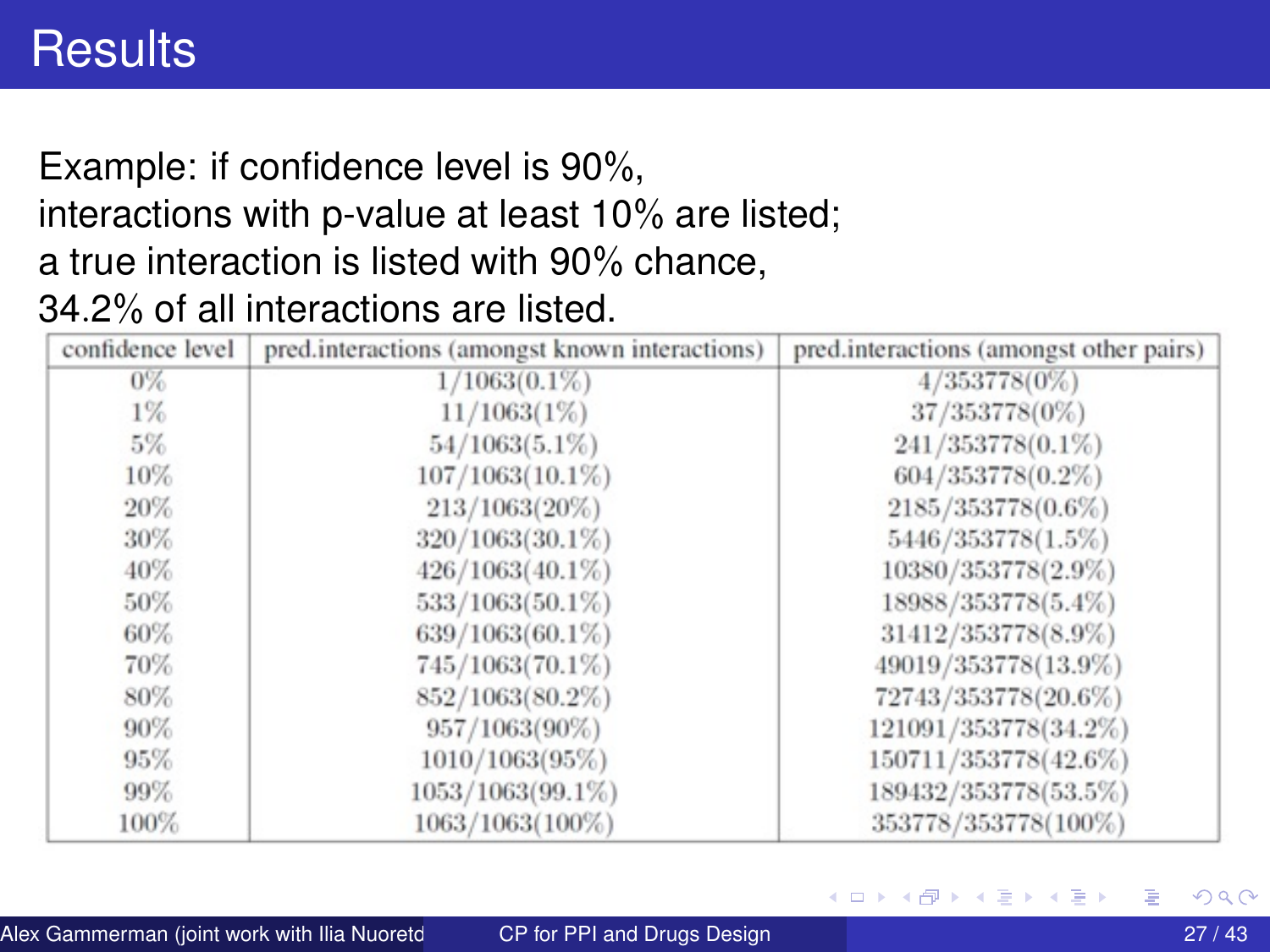## **Results**

#### Example: if confidence level is 90%, interactions with p-value at least 10% are listed; a true interaction is listed with 90% chance, 34.2% of all interactions are listed.

| confidence level | pred.interactions (amongst known interactions) | pred.interactions (amongst other pairs) |
|------------------|------------------------------------------------|-----------------------------------------|
| $0\%$            | $1/1063(0.1\%)$                                | $4/353778(0\%)$                         |
| 1%               | 11/1063(1%)                                    | 37/353778(0%)                           |
| 5%               | $54/1063(5.1\%)$                               | 241/353778(0.1%)                        |
| 10%              | $107/1063(10.1\%)$                             | 604/353778(0.2%)                        |
| 20%              | $213/1063(20\%)$                               | 2185/353778(0.6%)                       |
| 30%              | 320/1063(30.1%)                                | 5446/353778(1.5%)                       |
| 40%              | $426/1063(40.1\%)$                             | 10380/353778(2.9%)                      |
| 50%              | $533/1063(50.1\%)$                             | 18988/353778(5.4%)                      |
| 60%              | 639/1063(60.1%)                                | 31412/353778(8.9%)                      |
| 70%              | 745/1063(70.1%)                                | 49019/353778(13.9%)                     |
| 80%              | 852/1063(80.2%)                                | 72743/353778(20.6%)                     |
| 90%              | 957/1063(90%)                                  | 121091/353778(34.2%)                    |
| 95%              | 1010/1063(95%)                                 | 150711/353778(42.6%)                    |
| 99%              | 1053/1063(99.1%)                               | 189432/353778(53.5%)                    |
| 100%             | 1063/1063(100%)                                | 353778/353778(100%)                     |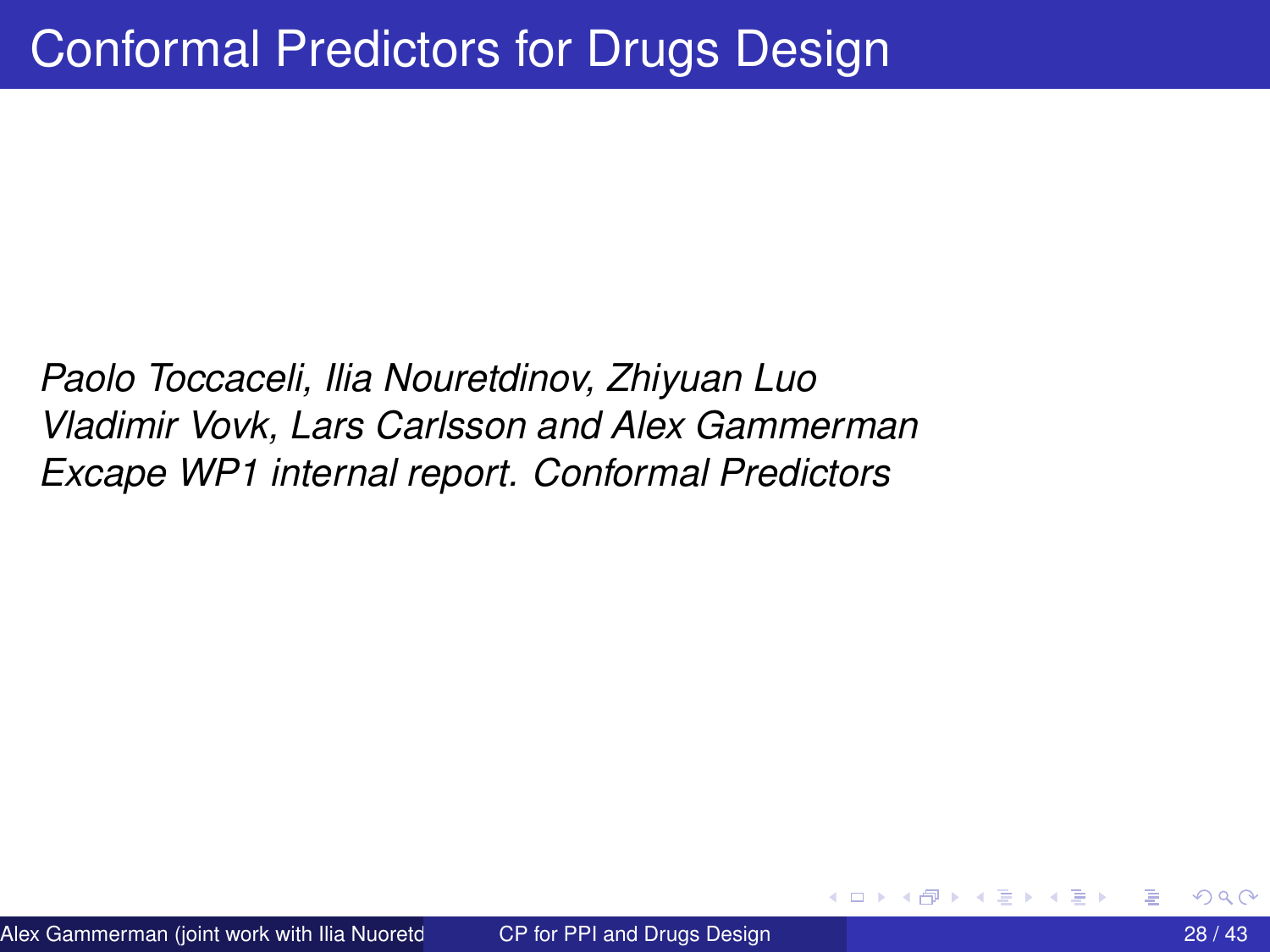<span id="page-27-0"></span>*Paolo Toccaceli, Ilia Nouretdinov, Zhiyuan Luo Vladimir Vovk, Lars Carlsson and Alex Gammerman Excape WP1 internal report. Conformal Predictors*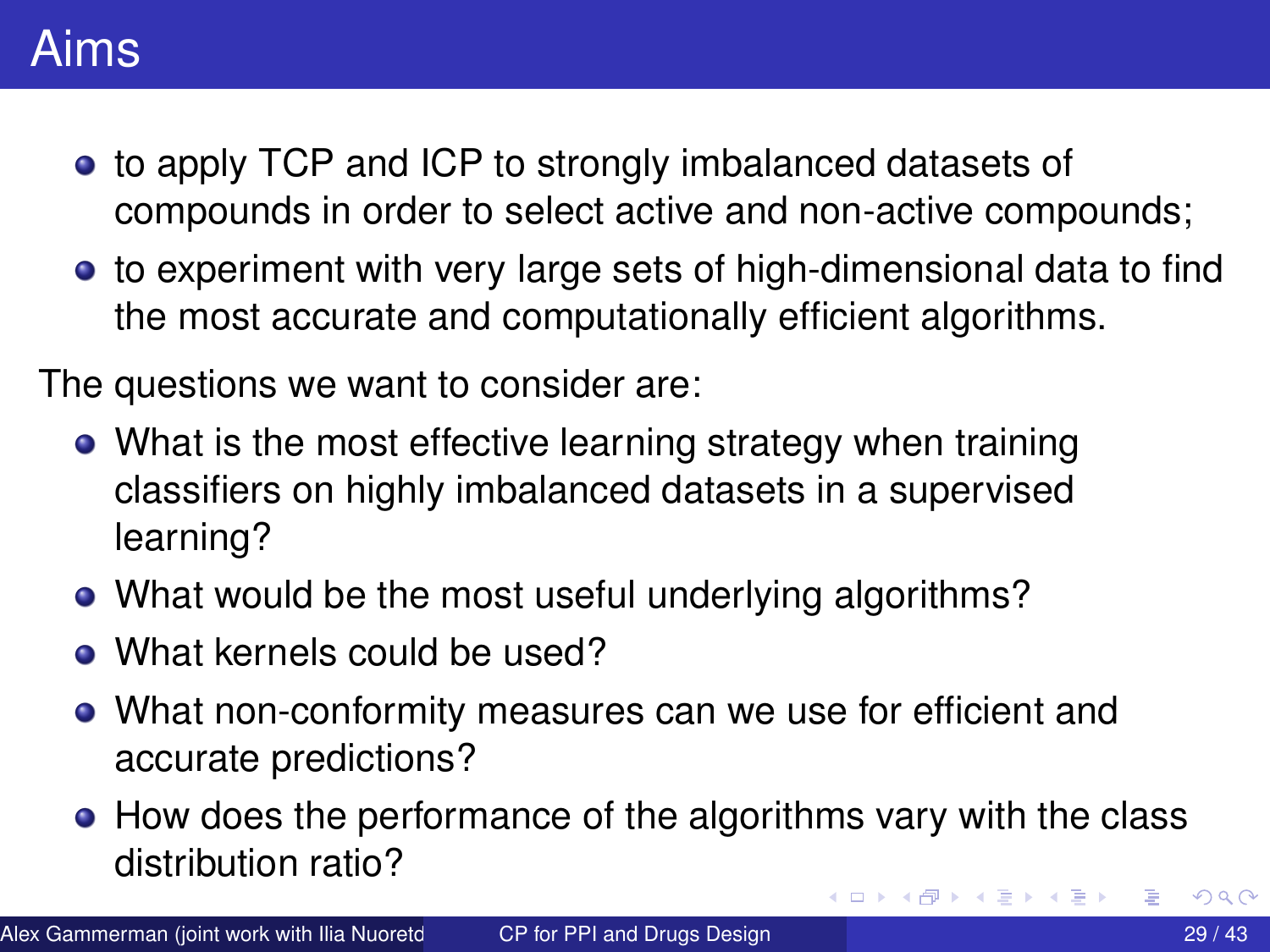## Aims

- to apply TCP and ICP to strongly imbalanced datasets of compounds in order to select active and non-active compounds;
- to experiment with very large sets of high-dimensional data to find the most accurate and computationally efficient algorithms.

The questions we want to consider are:

- What is the most effective learning strategy when training classifiers on highly imbalanced datasets in a supervised learning?
- What would be the most useful underlying algorithms?
- What kernels could be used?
- What non-conformity measures can we use for efficient and accurate predictions?
- How does the performance of the algorithms vary with the class distribution ratio?  $QQ$

 $\leftarrow$   $\leftarrow$   $\leftarrow$ 

医毛囊 医牙囊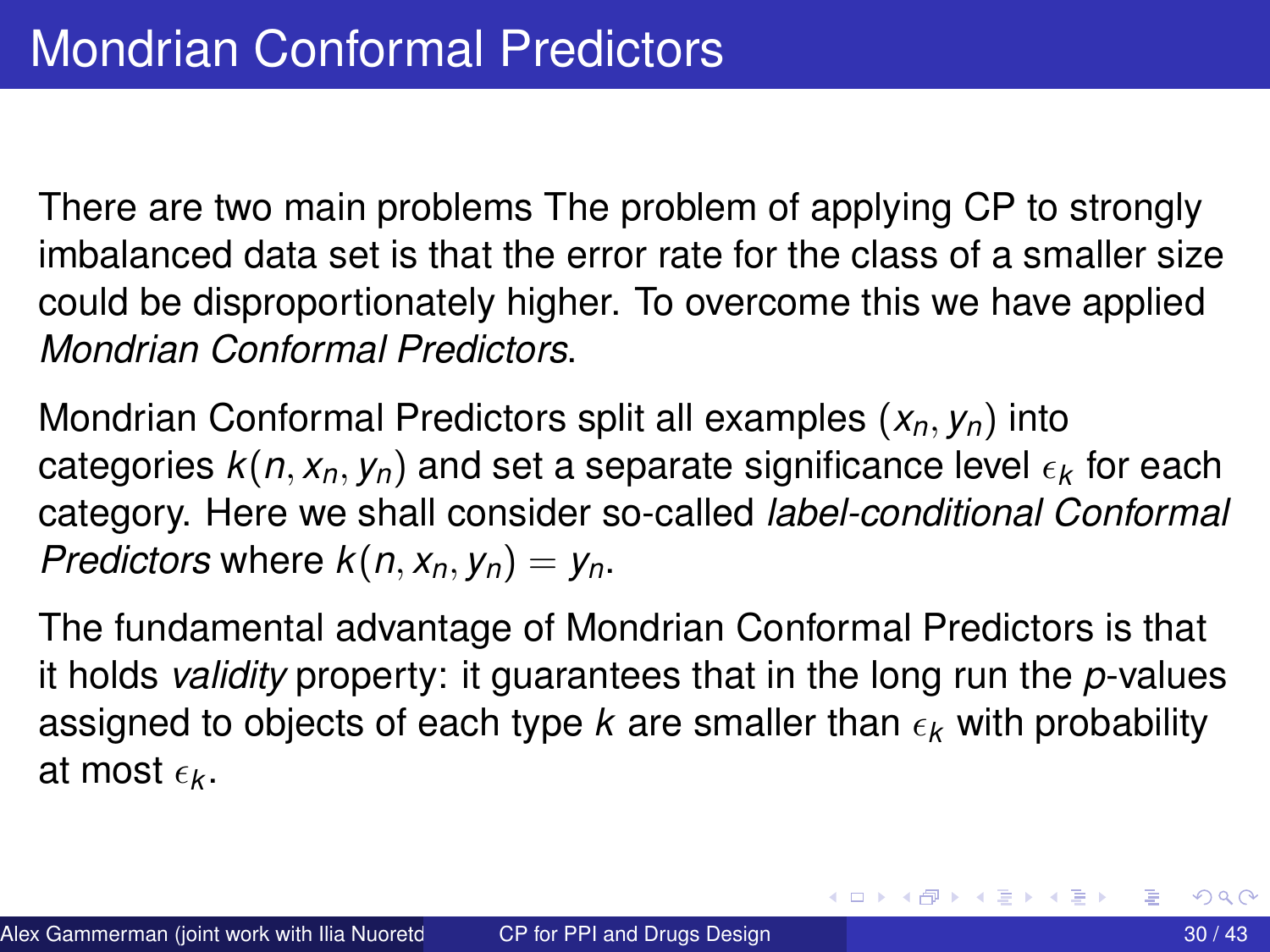<span id="page-29-0"></span>There are two main problems The problem of applying CP to strongly imbalanced data set is that the error rate for the class of a smaller size could be disproportionately higher. To overcome this we have applied *Mondrian Conformal Predictors*.

Mondrian Conformal Predictors split all examples (*xn*, *yn*) into categories  $k(n, x_n, y_n)$  and set a separate significance level  $\epsilon_k$  for each category. Here we shall consider so-called *label-conditional Conformal Predictors* where  $k(n, x_n, y_n) = y_n$ .

The fundamental advantage of Mondrian Conformal Predictors is that it holds *validity* property: it guarantees that in the long run the *p*-values assigned to objects of each type *k* are smaller than  $\epsilon_k$  with probability at most  $\epsilon_{\bf k}$ .

イロト イ押 トイラト イラト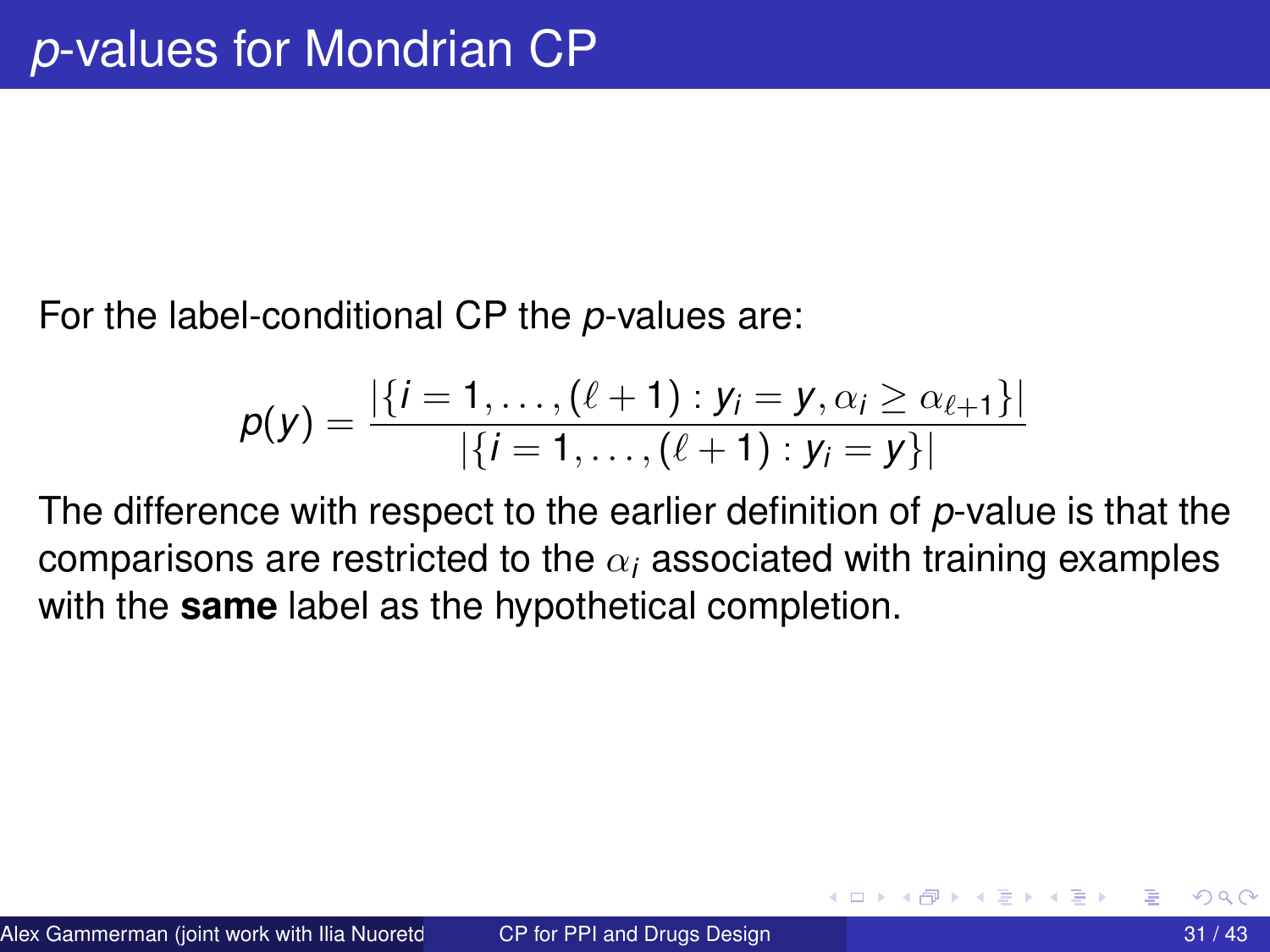<span id="page-30-0"></span>For the label-conditional CP the *p*-values are:

$$
p(y) = \frac{|\{i = 1, ..., (\ell + 1) : y_i = y, \alpha_i \geq \alpha_{\ell+1}\}|}{|\{i = 1, ..., (\ell + 1) : y_i = y\}|}
$$

The difference with respect to the earlier definition of *p*-value is that the comparisons are restricted to the  $\alpha_i$  associated with training examples with the **same** label as the hypothetical completion.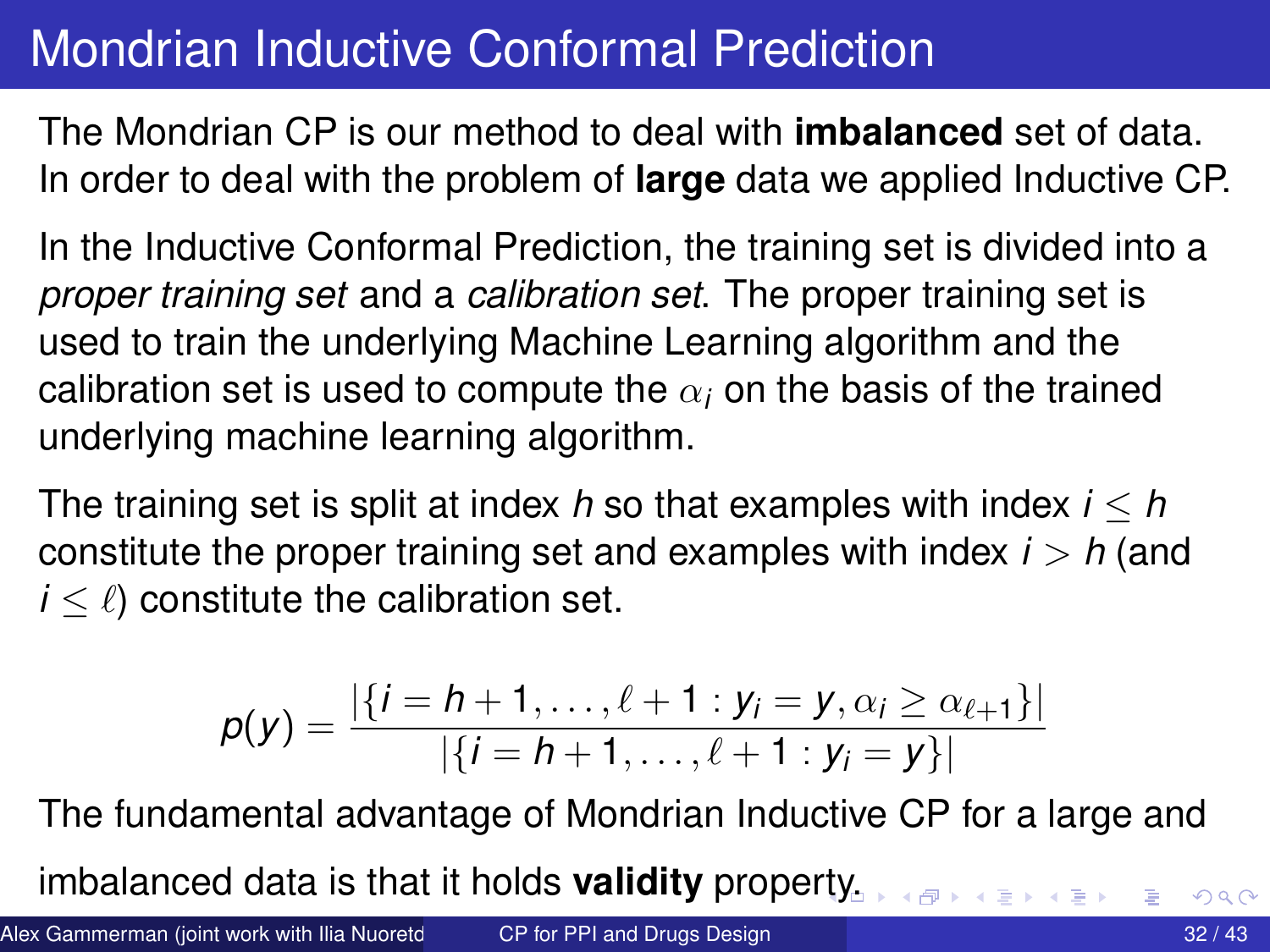## <span id="page-31-0"></span>Mondrian Inductive Conformal Prediction

The Mondrian CP is our method to deal with **imbalanced** set of data. In order to deal with the problem of **large** data we applied Inductive CP.

In the Inductive Conformal Prediction, the training set is divided into a *proper training set* and a *calibration set*. The proper training set is used to train the underlying Machine Learning algorithm and the calibration set is used to compute the  $\alpha_i$  on the basis of the trained underlying machine learning algorithm.

The training set is split at index *h* so that examples with index *i* ≤ *h* constitute the proper training set and examples with index  $i > h$  (and  $i \leq \ell$ ) constitute the calibration set.

$$
p(y) = \frac{|\{i = h+1, \ldots, \ell + 1 : y_i = y, \alpha_i \geq \alpha_{\ell+1}\}|}{|\{i = h+1, \ldots, \ell + 1 : y_i = y\}|}
$$

The fundamental advantage of Mondrian Inductive CP for a large and

imbalanced data is that it holds **validity** prope[rty](#page-30-0).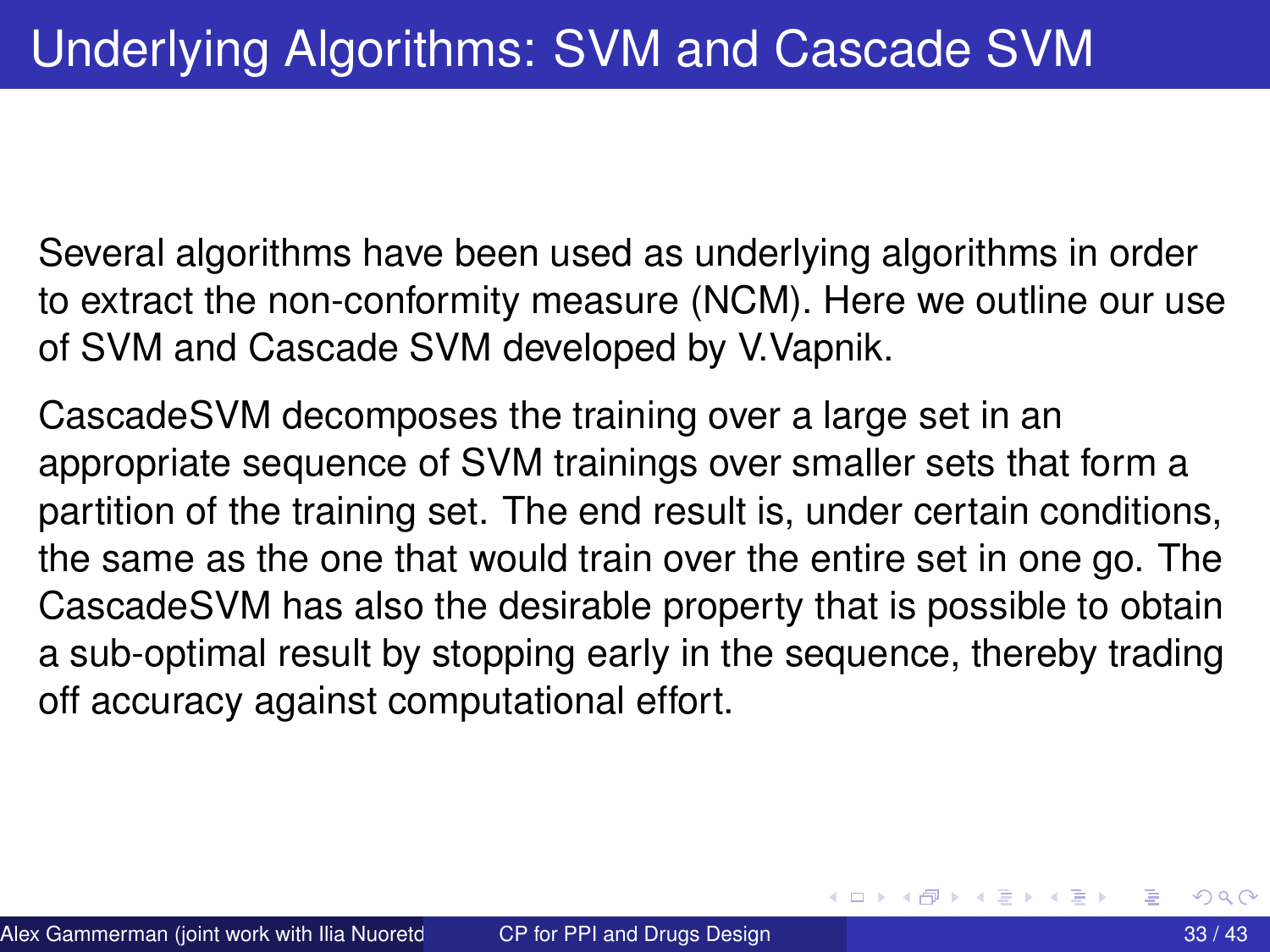<span id="page-32-0"></span>Several algorithms have been used as underlying algorithms in order to extract the non-conformity measure (NCM). Here we outline our use of SVM and Cascade SVM developed by V.Vapnik.

CascadeSVM decomposes the training over a large set in an appropriate sequence of SVM trainings over smaller sets that form a partition of the training set. The end result is, under certain conditions, the same as the one that would train over the entire set in one go. The CascadeSVM has also the desirable property that is possible to obtain a sub-optimal result by stopping early in the sequence, thereby trading off accuracy against computational effort.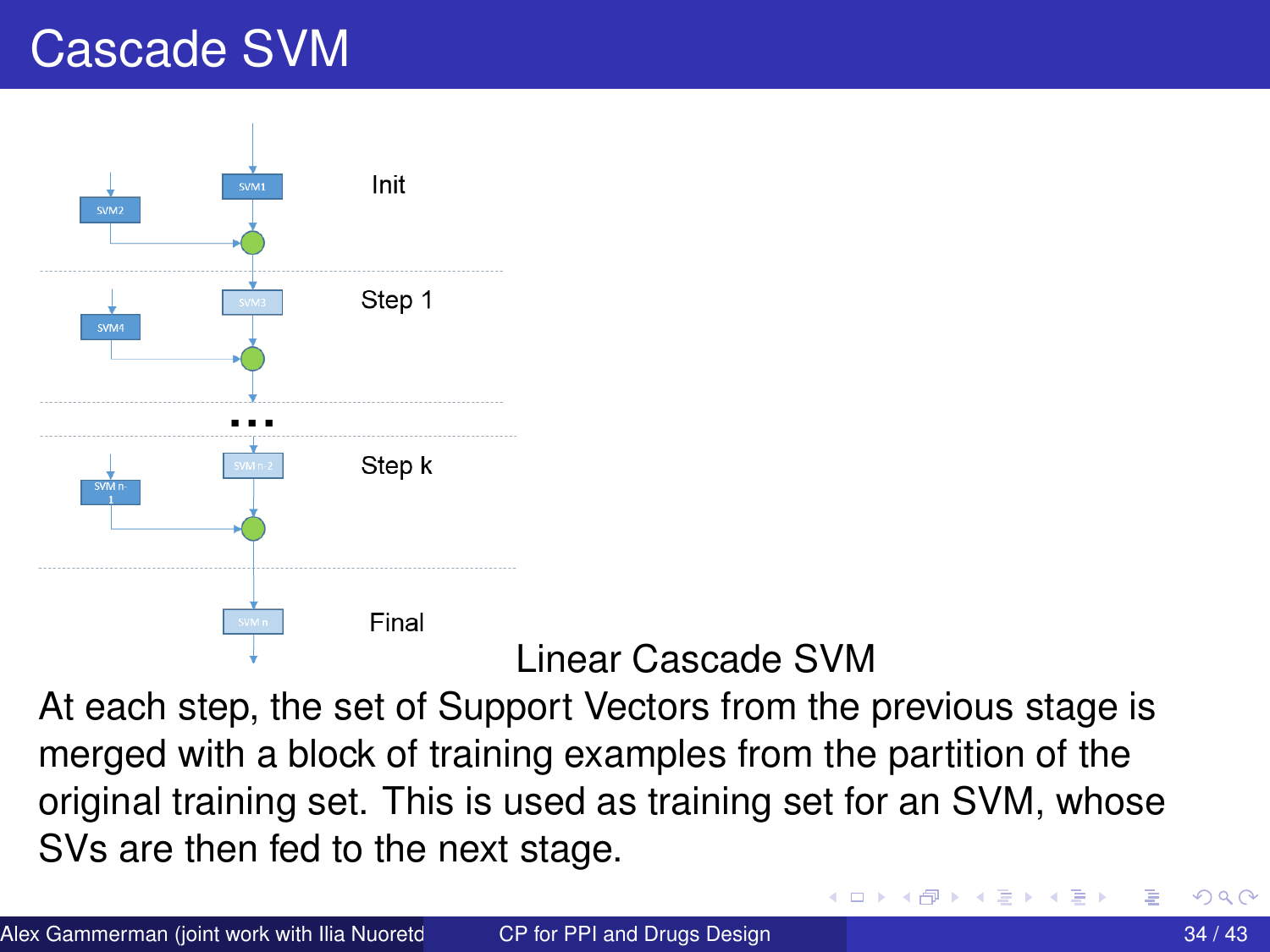# Cascade SVM



#### Linear Cascade SVM

At each step, the set of Support Vectors from the previous stage is merged with a block of training examples from the partition of the original training set. This is used as training set for an SVM, whose SVs are then fed to the next stage.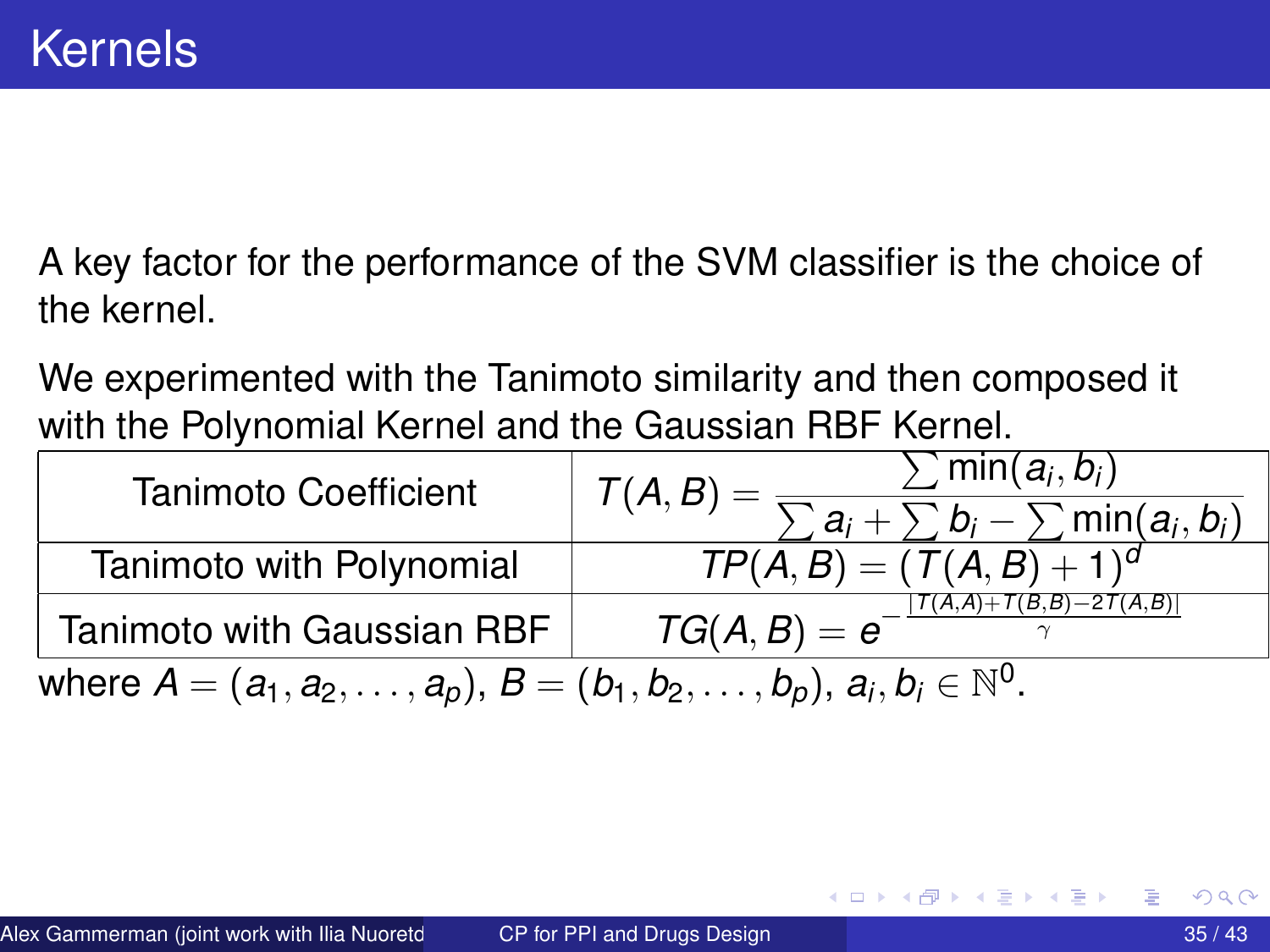A key factor for the performance of the SVM classifier is the choice of the kernel.

We experimented with the Tanimoto similarity and then composed it with the Polynomial Kernel and the Gaussian RBF Kernel.

| <b>Tanimoto Coefficient</b>                                                                   | $\sum$ min $(a_i, b_i)$<br>$\mathcal{T}(A, B) = \frac{1}{\sqrt{2}}$         |  |  |  |
|-----------------------------------------------------------------------------------------------|-----------------------------------------------------------------------------|--|--|--|
| Tanimoto with Polynomial                                                                      | $\sum a_i + \sum b_i - \sum \min(a_i, b_i)$<br>$TP(A, B) = (T(A, B) + 1)^d$ |  |  |  |
| Tanimoto with Gaussian RBF                                                                    | $ T(A,A)+T(B,B)-2T(A,B) $<br>$TG(A, B) = e^{-}$                             |  |  |  |
| where $A = (a_1, a_2, \ldots, a_p), B = (b_1, b_2, \ldots, b_p), a_i, b_i \in \mathbb{N}^0$ . |                                                                             |  |  |  |

**REPAREM** 

∢ □ ▶ ィ <sup>□</sup> ▶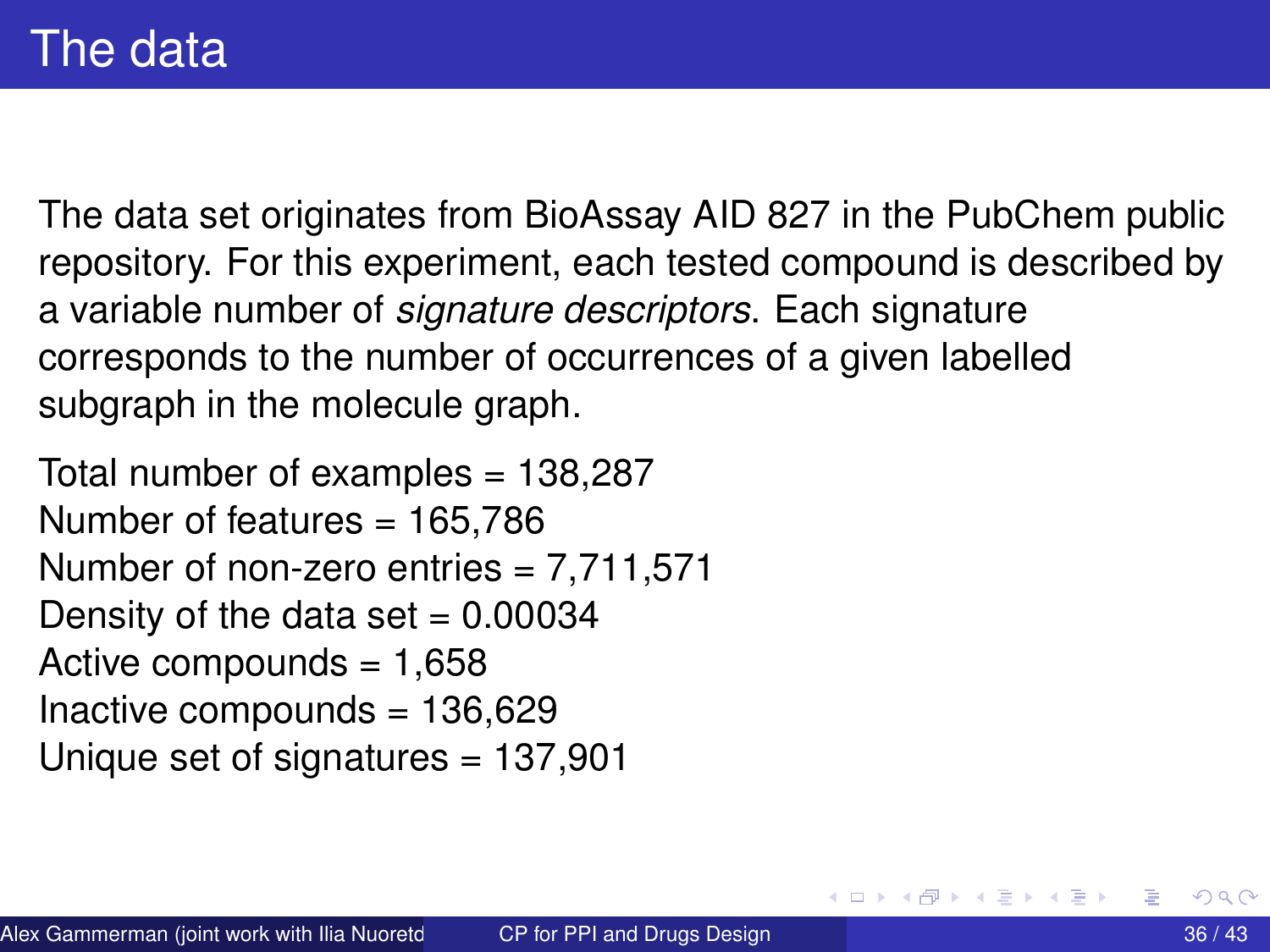The data set originates from BioAssay AID 827 in the PubChem public repository. For this experiment, each tested compound is described by a variable number of *signature descriptors*. Each signature corresponds to the number of occurrences of a given labelled subgraph in the molecule graph.

Total number of examples = 138,287 Number of features = 165,786 Number of non-zero entries  $= 7,711,571$ Density of the data set  $= 0.00034$ Active compounds  $= 1,658$ Inactive compounds  $= 136,629$ Unique set of signatures = 137,901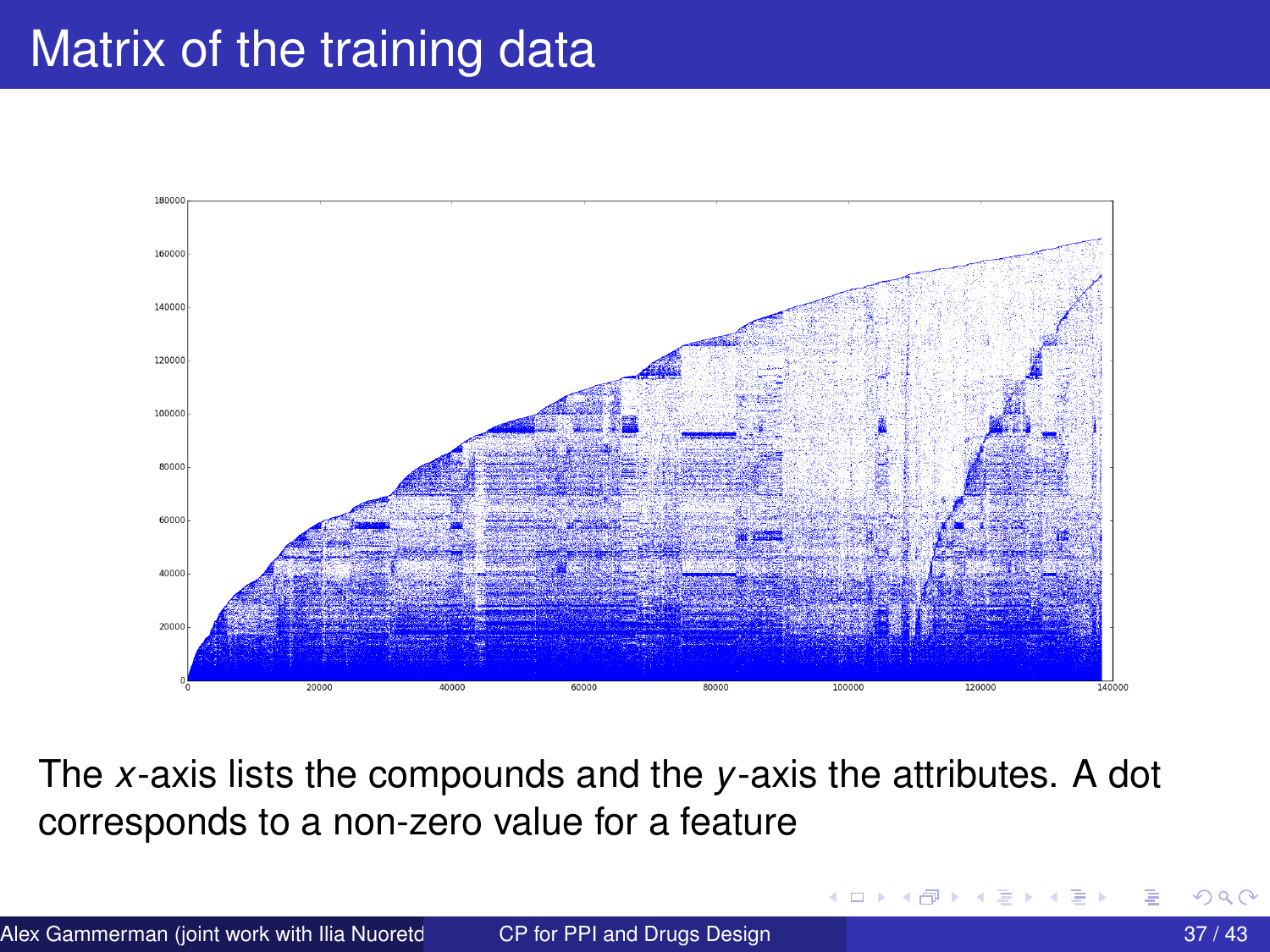# Matrix of the training data



The *x*-axis lists the compounds and the *y*-axis the attributes. A dot corresponds to a non-zero value for a feature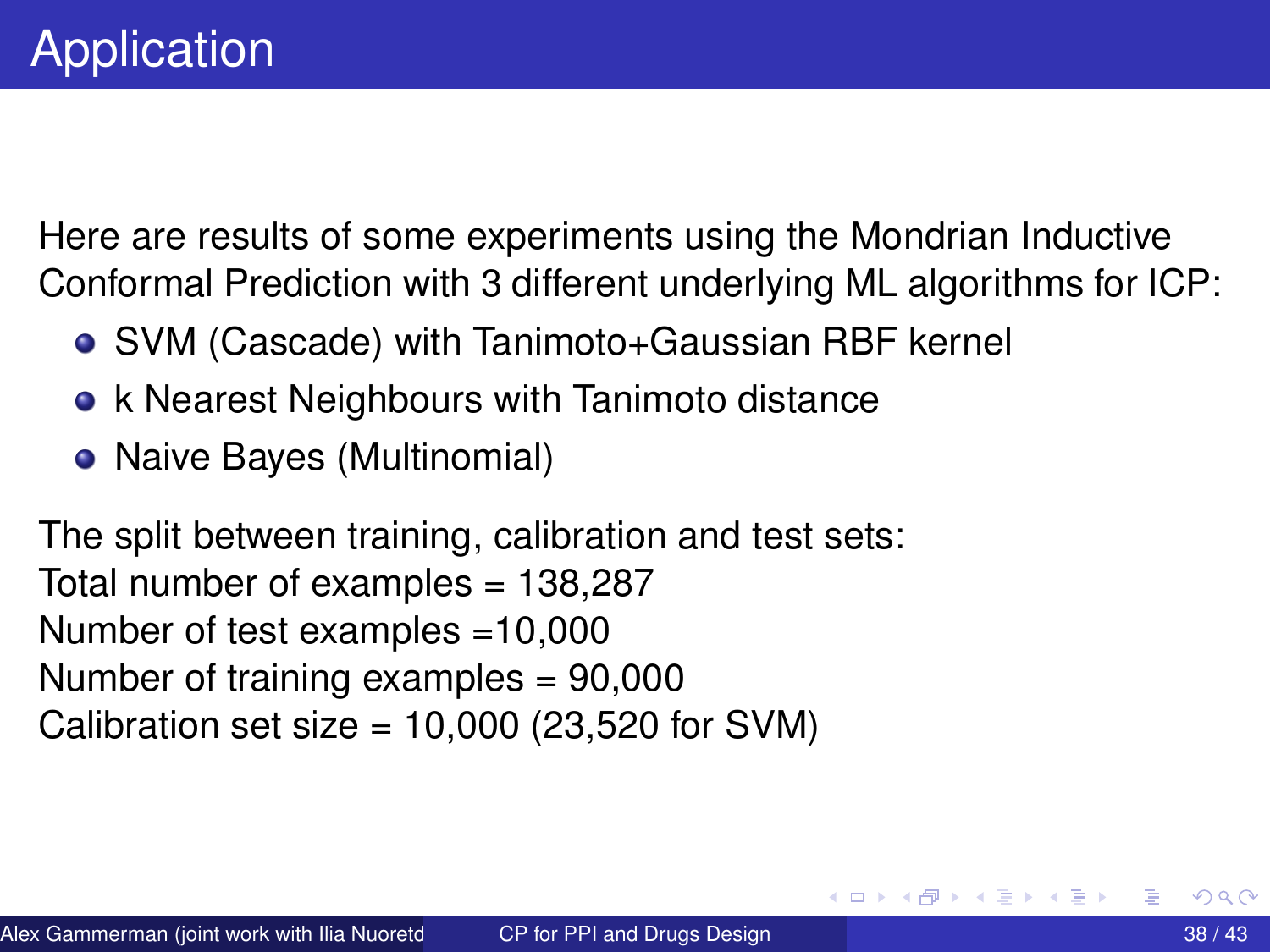<span id="page-37-0"></span>Here are results of some experiments using the Mondrian Inductive Conformal Prediction with 3 different underlying ML algorithms for ICP:

- SVM (Cascade) with Tanimoto+Gaussian RBF kernel
- k Nearest Neighbours with Tanimoto distance
- Naive Bayes (Multinomial)

The split between training, calibration and test sets: Total number of examples = 138,287 Number of test examples =10,000 Number of training examples = 90,000 Calibration set size =  $10,000$  (23,520 for SVM)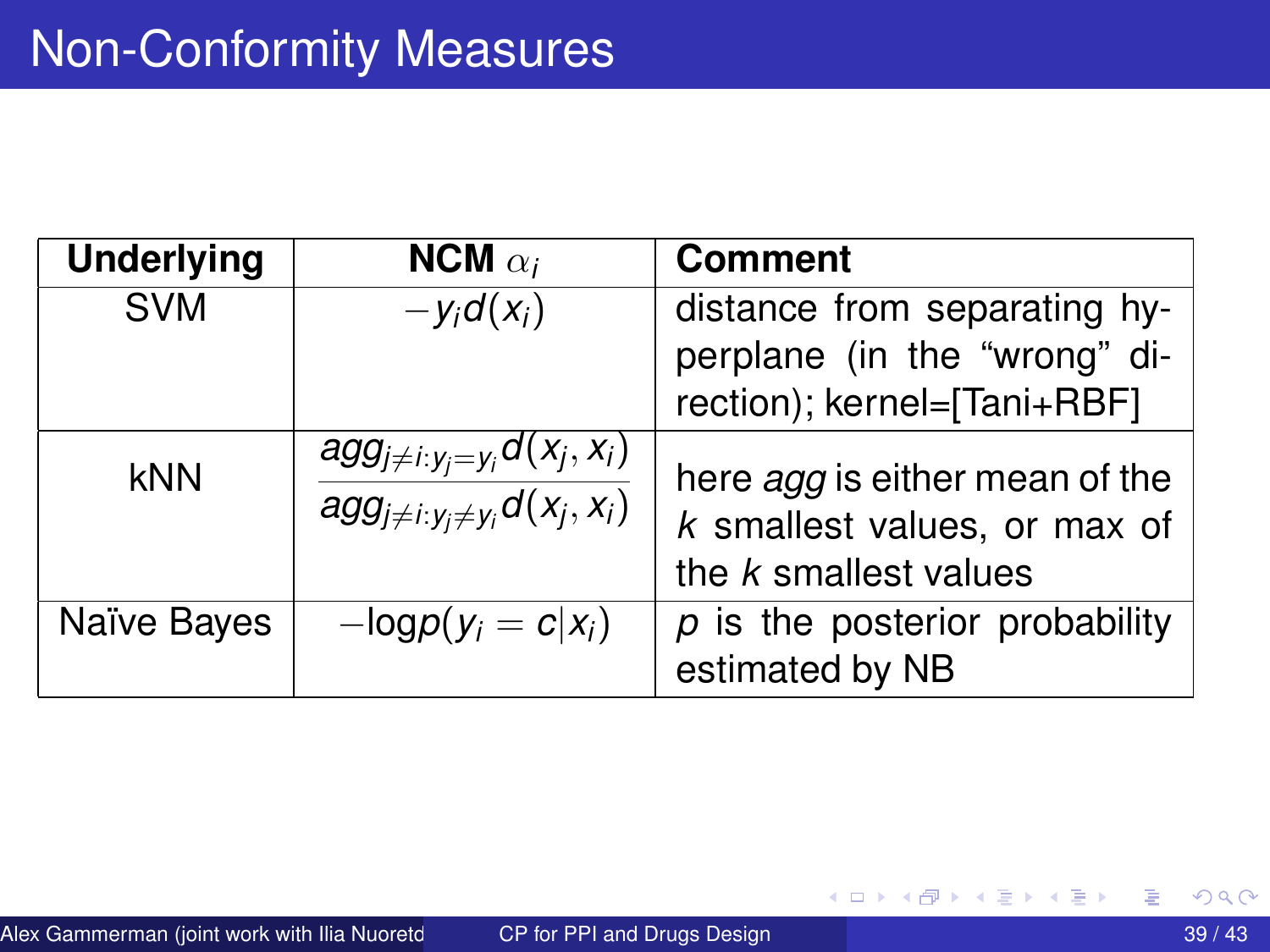| <b>Underlying</b> | NCM $\alpha_i$                                                                        | <b>Comment</b>                                                                                 |
|-------------------|---------------------------------------------------------------------------------------|------------------------------------------------------------------------------------------------|
| <b>SVM</b>        | $-y_i d(x_i)$                                                                         | distance from separating hy-<br>perplane (in the "wrong" di-<br>rection); kernel=[Tani+RBF]    |
| kNN               | $agg_{j\neq i:y_j=y_i}d(x_j,x_i)$<br>$\overline{agg_{j\neq i:y_j\neq y_i}d(x_j,x_i)}$ | here <i>agg</i> is either mean of the<br>k smallest values, or max of<br>the k smallest values |
| Naïve Bayes       | $-\text{log}p(y_i = c   x_i)$                                                         | $p$ is the posterior probability<br>estimated by NB                                            |

重

K ロ ⊁ K 倒 ≯ K 君 ⊁ K 君 ⊁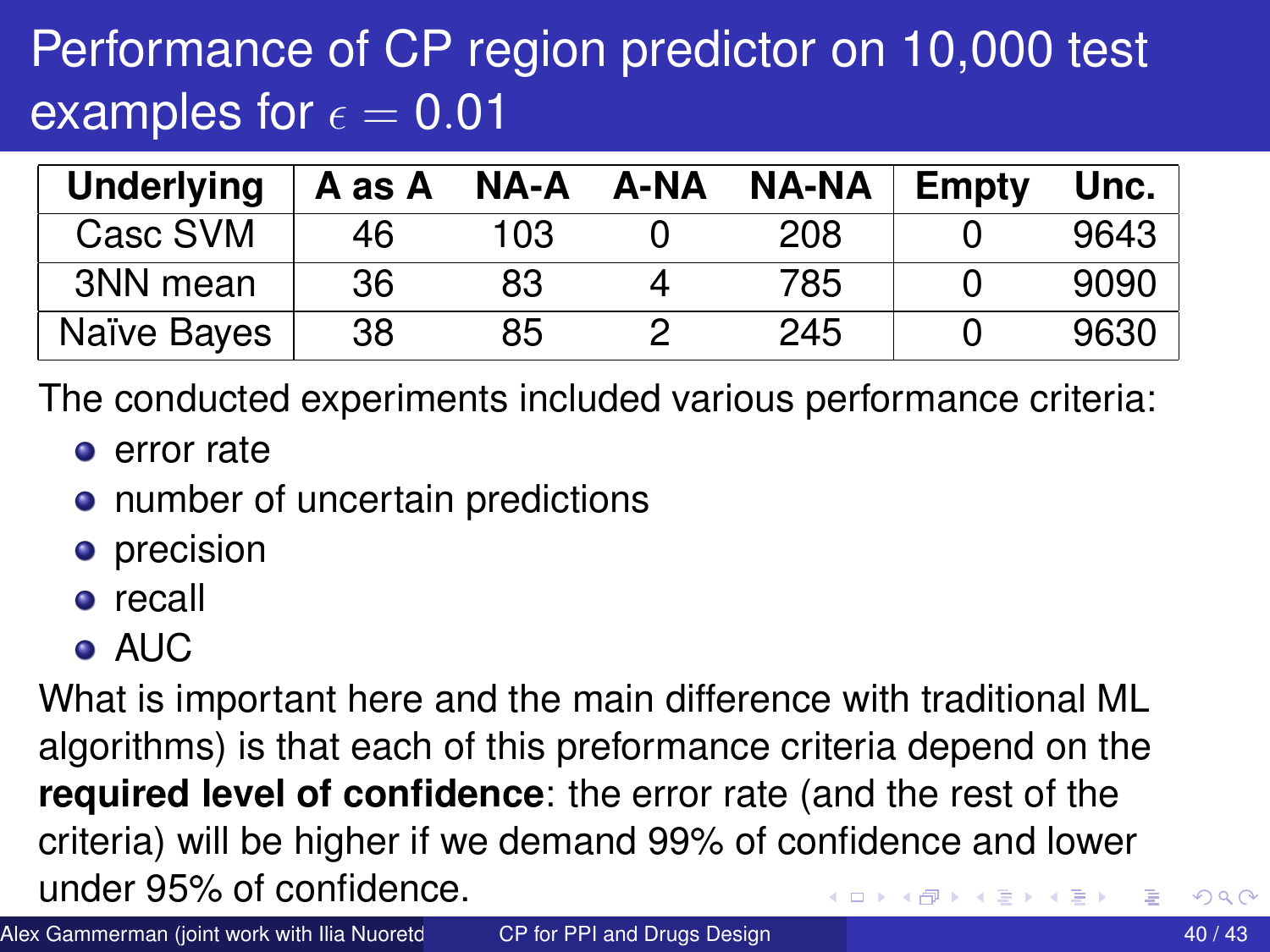# Performance of CP region predictor on 10,000 test examples for  $\epsilon = 0.01$

| <b>Underlying</b> | A as A | NA-A | A-NA | <b>NA-NA</b> | Empty | Unc. |
|-------------------|--------|------|------|--------------|-------|------|
| Casc SVM          | 46     | 103  |      | 208          |       | 9643 |
| 3NN mean          | 36     | 83   |      | 785          |       | 9090 |
| Naïve Bayes       | 38     | 85   |      | 245          |       | 9630 |

The conducted experiments included various performance criteria:

- **e** error rate
- number of uncertain predictions
- **o** precision
- **o** recall
- AUC

What is important here and the main difference with traditional ML algorithms) is that each of this preformance criteria depend on the **required level of confidence**: the error rate (and the rest of the criteria) will be higher if we demand 99% of confidence and lower under 95% of confidence.

Alex Gammerman (joint work with Ilia Nuoretdinov and Paris PPI and Drugs Design 40 / 43 and 20 / 43 and 20 / 43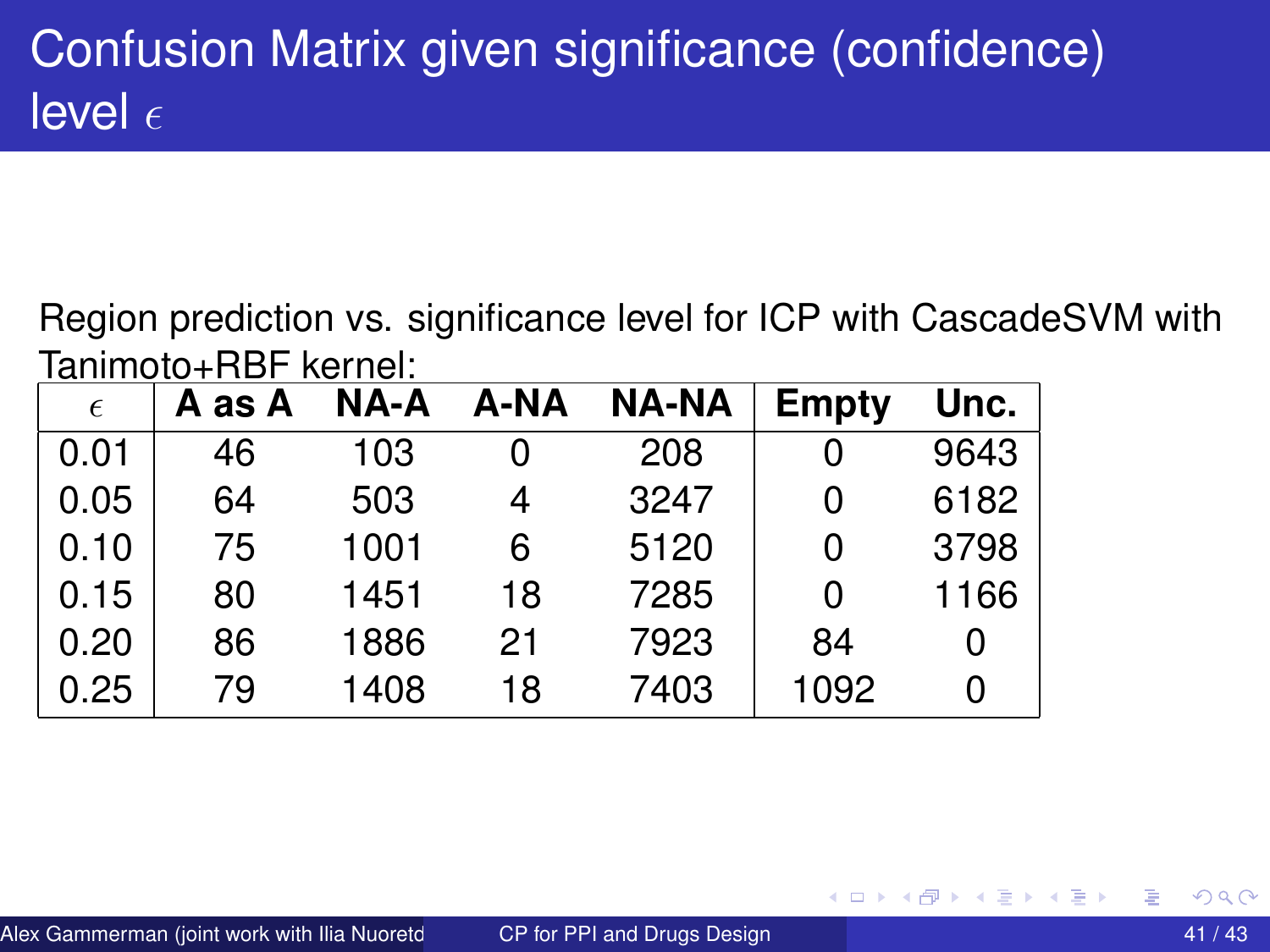# Confusion Matrix given significance (confidence) level  $\epsilon$

Region prediction vs. significance level for ICP with CascadeSVM with Tanimoto+RBF kernel:

| $\epsilon$ | A as A |      | NA-A A-NA | <b>NA-NA</b> | <b>Empty</b> | Unc. |
|------------|--------|------|-----------|--------------|--------------|------|
| 0.01       | 46     | 103  | 0         | 208          | 0            | 9643 |
| 0.05       | 64     | 503  | 4         | 3247         | 0            | 6182 |
| 0.10       | 75     | 1001 | 6         | 5120         | 0            | 3798 |
| 0.15       | 80     | 1451 | 18        | 7285         | 0            | 1166 |
| 0.20       | 86     | 1886 | 21        | 7923         | 84           | 0    |
| 0.25       | 79     | 1408 | 18        | 7403         | 1092         | 0    |

4 D.K.  $\leftarrow$   $\leftarrow$   $\leftarrow$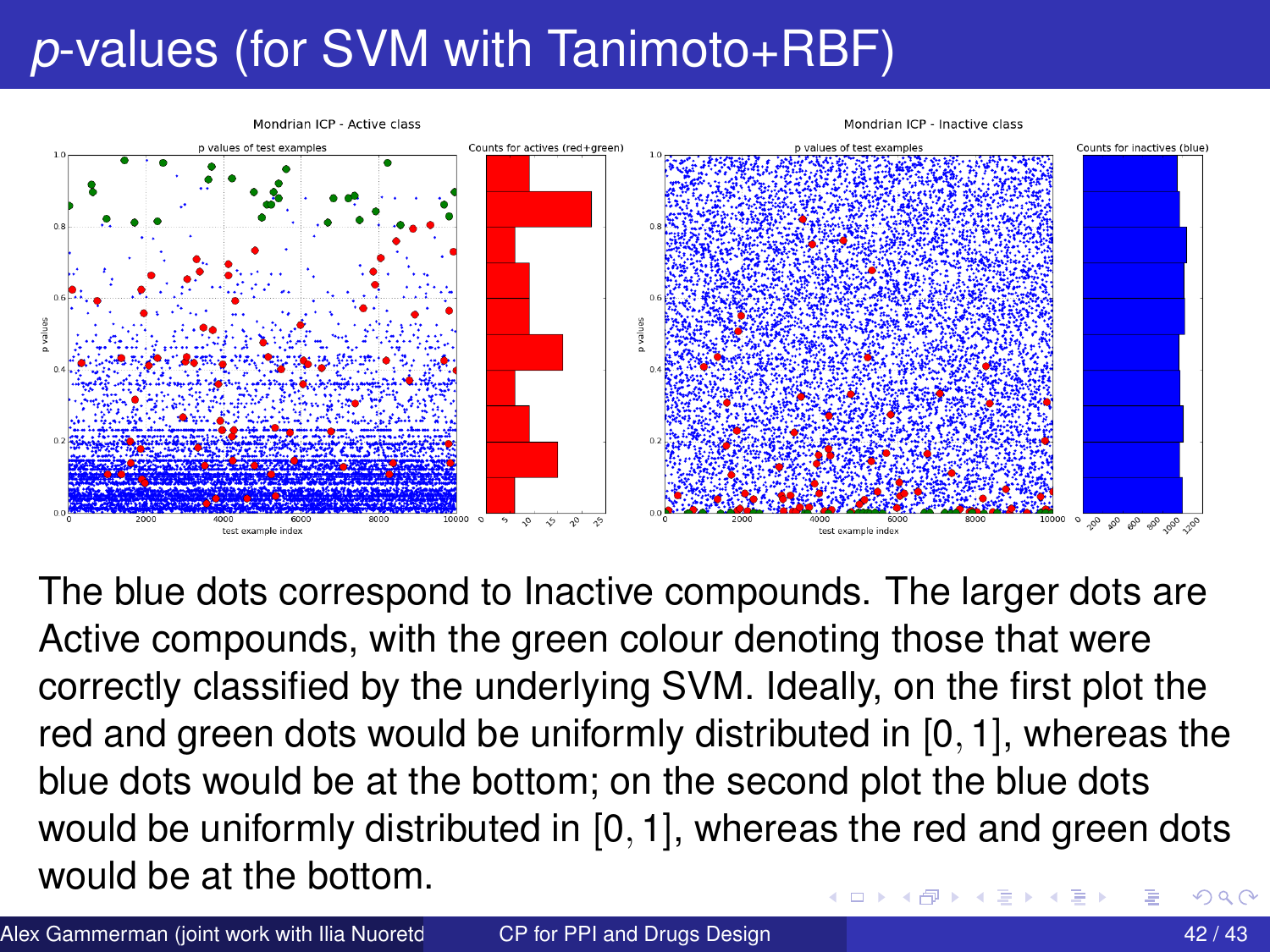# *p*-values (for SVM with Tanimoto+RBF)



The blue dots correspond to Inactive compounds. The larger dots are Active compounds, with the green colour denoting those that were correctly classified by the underlying SVM. Ideally, on the first plot the red and green dots would be uniformly distributed in [0, 1], whereas the blue dots would be at the bottom; on the second plot the blue dots would be uniformly distributed in [0, 1], whereas the red and green dots would be at the bottom. റെ ഭ